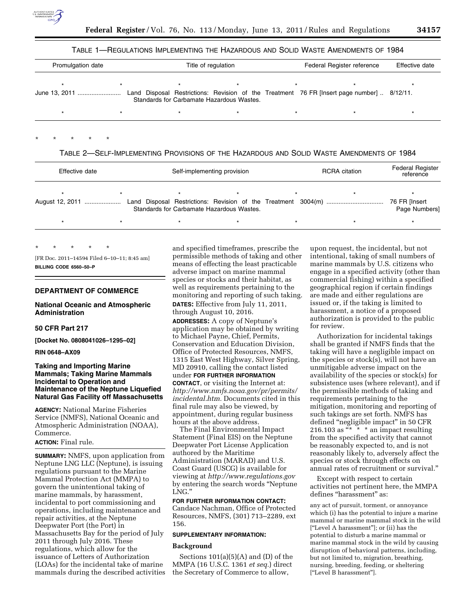

### TABLE 1—REGULATIONS IMPLEMENTING THE HAZARDOUS AND SOLID WASTE AMENDMENTS OF 1984

| Promulgation date |  |                                                                                                                                         | Title of regulation |  |  | Effective date |  |
|-------------------|--|-----------------------------------------------------------------------------------------------------------------------------------------|---------------------|--|--|----------------|--|
| June 13, 2011     |  | Land Disposal Restrictions: Revision of the Treatment 76 FR [Insert page number]  8/12/11.<br>Standards for Carbamate Hazardous Wastes. |                     |  |  |                |  |
|                   |  |                                                                                                                                         |                     |  |  |                |  |

# \* \* \* \* \*

### TABLE 2—SELF-IMPLEMENTING PROVISIONS OF THE HAZARDOUS AND SOLID WASTE AMENDMENTS OF 1984

| Effective date  |  |  | Self-implementing provision |                                           |  |  | <b>RCRA</b> citation | <b>Federal Register</b><br>reference |
|-----------------|--|--|-----------------------------|-------------------------------------------|--|--|----------------------|--------------------------------------|
| August 12, 2011 |  |  |                             | Standards for Carbamate Hazardous Wastes. |  |  |                      | 76 FR [Insert<br>Page Numbers]       |
|                 |  |  |                             |                                           |  |  |                      |                                      |

\* \* \* \* \* [FR Doc. 2011–14594 Filed 6–10–11; 8:45 am] **BILLING CODE 6560–50–P** 

### **DEPARTMENT OF COMMERCE**

#### **National Oceanic and Atmospheric Administration**

### **50 CFR Part 217**

**[Docket No. 0808041026–1295–02]** 

#### **RIN 0648–AX09**

## **Taking and Importing Marine Mammals; Taking Marine Mammals Incidental to Operation and Maintenance of the Neptune Liquefied Natural Gas Facility off Massachusetts**

**AGENCY:** National Marine Fisheries Service (NMFS), National Oceanic and Atmospheric Administration (NOAA), Commerce.

### **ACTION:** Final rule.

**SUMMARY:** NMFS, upon application from Neptune LNG LLC (Neptune), is issuing regulations pursuant to the Marine Mammal Protection Act (MMPA) to govern the unintentional taking of marine mammals, by harassment, incidental to port commissioning and operations, including maintenance and repair activities, at the Neptune Deepwater Port (the Port) in Massachusetts Bay for the period of July 2011 through July 2016. These regulations, which allow for the issuance of Letters of Authorization (LOAs) for the incidental take of marine mammals during the described activities and specified timeframes, prescribe the permissible methods of taking and other means of effecting the least practicable adverse impact on marine mammal species or stocks and their habitat, as well as requirements pertaining to the monitoring and reporting of such taking. **DATES:** Effective from July 11, 2011, through August 10, 2016.

**ADDRESSES:** A copy of Neptune's application may be obtained by writing to Michael Payne, Chief, Permits, Conservation and Education Division, Office of Protected Resources, NMFS, 1315 East West Highway, Silver Spring, MD 20910, calling the contact listed under **FOR FURTHER INFORMATION CONTACT**, or visiting the Internet at: *[http://www.nmfs.noaa.gov/pr/permits/](http://www.nmfs.noaa.gov/pr/permits/incidental.htm)  [incidental.htm.](http://www.nmfs.noaa.gov/pr/permits/incidental.htm)* Documents cited in this final rule may also be viewed, by appointment, during regular business hours at the above address.

The Final Environmental Impact Statement (Final EIS) on the Neptune Deepwater Port License Application authored by the Maritime Administration (MARAD) and U.S. Coast Guard (USCG) is available for viewing at *<http://www.regulations.gov>* by entering the search words ''Neptune LNG.''

#### **FOR FURTHER INFORMATION CONTACT:**

Candace Nachman, Office of Protected Resources, NMFS, (301) 713–2289, ext 156.

## **SUPPLEMENTARY INFORMATION:**

# **Background**

Sections  $101(a)(5)(A)$  and  $(D)$  of the MMPA (16 U.S.C. 1361 *et seq.*) direct the Secretary of Commerce to allow,

upon request, the incidental, but not intentional, taking of small numbers of marine mammals by U.S. citizens who engage in a specified activity (other than commercial fishing) within a specified geographical region if certain findings are made and either regulations are issued or, if the taking is limited to harassment, a notice of a proposed authorization is provided to the public for review.

Authorization for incidental takings shall be granted if NMFS finds that the taking will have a negligible impact on the species or stock(s), will not have an unmitigable adverse impact on the availability of the species or stock(s) for subsistence uses (where relevant), and if the permissible methods of taking and requirements pertaining to the mitigation, monitoring and reporting of such takings are set forth. NMFS has defined "negligible impact" in 50 CFR 216.103 as  $\frac{u}{x} \times \infty$  an impact resulting from the specified activity that cannot be reasonably expected to, and is not reasonably likely to, adversely affect the species or stock through effects on annual rates of recruitment or survival.''

Except with respect to certain activities not pertinent here, the MMPA defines ''harassment'' as:

any act of pursuit, torment, or annoyance which (i) has the potential to injure a marine mammal or marine mammal stock in the wild [''Level A harassment'']; or (ii) has the potential to disturb a marine mammal or marine mammal stock in the wild by causing disruption of behavioral patterns, including, but not limited to, migration, breathing, nursing, breeding, feeding, or sheltering [''Level B harassment''].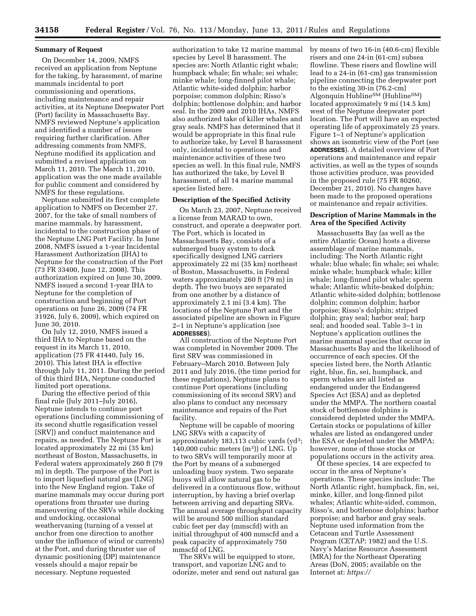#### **Summary of Request**

On December 14, 2009, NMFS received an application from Neptune for the taking, by harassment, of marine mammals incidental to port commissioning and operations, including maintenance and repair activities, at its Neptune Deepwater Port (Port) facility in Massachusetts Bay. NMFS reviewed Neptune's application and identified a number of issues requiring further clarification. After addressing comments from NMFS, Neptune modified its application and submitted a revised application on March 11, 2010. The March 11, 2010, application was the one made available for public comment and considered by NMFS for these regulations.

Neptune submitted its first complete application to NMFS on December 27, 2007, for the take of small numbers of marine mammals, by harassment, incidental to the construction phase of the Neptune LNG Port Facility. In June 2008, NMFS issued a 1-year Incidental Harassment Authorization (IHA) to Neptune for the construction of the Port (73 FR 33400, June 12, 2008). This authorization expired on June 30, 2009. NMFS issued a second 1-year IHA to Neptune for the completion of construction and beginning of Port operations on June 26, 2009 (74 FR 31926, July 6, 2009), which expired on June 30, 2010.

On July 12, 2010, NMFS issued a third IHA to Neptune based on the request in its March 11, 2010, application (75 FR 41440, July 16, 2010). This latest IHA is effective through July 11, 2011. During the period of this third IHA, Neptune conducted limited port operations.

During the effective period of this final rule (July 2011–July 2016), Neptune intends to continue port operations (including commissioning of its second shuttle regasification vessel [SRV]) and conduct maintenance and repairs, as needed. The Neptune Port is located approximately 22 mi (35 km) northeast of Boston, Massachusetts, in Federal waters approximately 260 ft (79 m) in depth. The purpose of the Port is to import liquefied natural gas (LNG) into the New England region. Take of marine mammals may occur during port operations from thruster use during maneuvering of the SRVs while docking and undocking, occasional weathervaning (turning of a vessel at anchor from one direction to another under the influence of wind or currents) at the Port, and during thruster use of dynamic positioning (DP) maintenance vessels should a major repair be necessary. Neptune requested

authorization to take 12 marine mammal species by Level B harassment. The species are: North Atlantic right whale; humpback whale; fin whale; sei whale; minke whale; long-finned pilot whale; Atlantic white-sided dolphin; harbor porpoise; common dolphin; Risso's dolphin; bottlenose dolphin; and harbor seal. In the 2009 and 2010 IHAs, NMFS also authorized take of killer whales and gray seals. NMFS has determined that it would be appropriate in this final rule to authorize take, by Level B harassment only, incidental to operations and maintenance activities of these two species as well. In this final rule, NMFS has authorized the take, by Level B harassment, of all 14 marine mammal species listed here.

### **Description of the Specified Activity**

On March 23, 2007, Neptune received a license from MARAD to own, construct, and operate a deepwater port. The Port, which is located in Massachusetts Bay, consists of a submerged buoy system to dock specifically designed LNG carriers approximately 22 mi (35 km) northeast of Boston, Massachusetts, in Federal waters approximately 260 ft (79 m) in depth. The two buoys are separated from one another by a distance of approximately 2.1 mi (3.4 km). The locations of the Neptune Port and the associated pipeline are shown in Figure 2–1 in Neptune's application (see **ADDRESSES**).

All construction of the Neptune Port was completed in November 2009. The first SRV was commissioned in February–March 2010. Between July 2011 and July 2016, (the time period for these regulations), Neptune plans to continue Port operations (including commissioning of its second SRV) and also plans to conduct any necessary maintenance and repairs of the Port facility.

Neptune will be capable of mooring LNG SRVs with a capacity of approximately  $183,113$  cubic yards (yd<sup>3</sup>; 140,000 cubic meters  $(m<sup>3</sup>)$  of LNG. Up to two SRVs will temporarily moor at the Port by means of a submerged unloading buoy system. Two separate buoys will allow natural gas to be delivered in a continuous flow, without interruption, by having a brief overlap between arriving and departing SRVs. The annual average throughput capacity will be around 500 million standard cubic feet per day (mmscfd) with an initial throughput of 400 mmscfd and a peak capacity of approximately 750 mmscfd of LNG.

The SRVs will be equipped to store, transport, and vaporize LNG and to odorize, meter and send out natural gas by means of two 16-in (40.6-cm) flexible risers and one 24-in (61-cm) subsea flowline. These risers and flowline will lead to a 24-in (61-cm) gas transmission pipeline connecting the deepwater port to the existing 30-in (76.2-cm) Algonquin HublineSM (HublineSM) located approximately 9 mi (14.5 km) west of the Neptune deepwater port location. The Port will have an expected operating life of approximately 25 years. Figure 1–1 of Neptune's application shows an isometric view of the Port (see **ADDRESSES**). A detailed overview of Port operations and maintenance and repair activities, as well as the types of sounds those activities produce, was provided in the proposed rule (75 FR 80260, December 21, 2010). No changes have been made to the proposed operations or maintenance and repair activities.

### **Description of Marine Mammals in the Area of the Specified Activity**

Massachusetts Bay (as well as the entire Atlantic Ocean) hosts a diverse assemblage of marine mammals, including: The North Atlantic right whale; blue whale; fin whale; sei whale; minke whale; humpback whale; killer whale; long-finned pilot whale; sperm whale; Atlantic white-beaked dolphin; Atlantic white-sided dolphin; bottlenose dolphin; common dolphin; harbor porpoise; Risso's dolphin; striped dolphin; gray seal; harbor seal; harp seal; and hooded seal. Table 3–1 in Neptune's application outlines the marine mammal species that occur in Massachusetts Bay and the likelihood of occurrence of each species. Of the species listed here, the North Atlantic right, blue, fin, sei, humpback, and sperm whales are all listed as endangered under the Endangered Species Act (ESA) and as depleted under the MMPA. The northern coastal stock of bottlenose dolphins is considered depleted under the MMPA. Certain stocks or populations of killer whales are listed as endangered under the ESA or depleted under the MMPA; however, none of those stocks or populations occurs in the activity area.

Of these species, 14 are expected to occur in the area of Neptune's operations. These species include: The North Atlantic right, humpback, fin, sei, minke, killer, and long-finned pilot whales; Atlantic white-sided, common, Risso's, and bottlenose dolphins; harbor porpoise; and harbor and gray seals. Neptune used information from the Cetacean and Turtle Assessment Program (CETAP; 1982) and the U.S. Navy's Marine Resource Assessment (MRA) for the Northeast Operating Areas (DoN, 2005; available on the Internet at: *<https://>*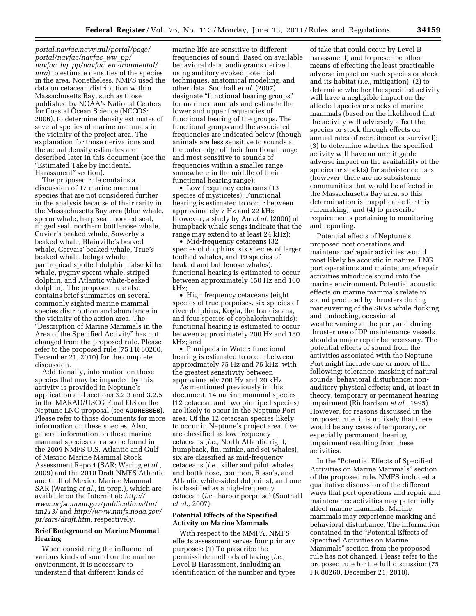*portal.navfac.navy.mil/portal/page/ portal/navfac/navfac*\_*ww*\_*pp/ navfac*\_*hq*\_*pp/navfac*\_*environmental/ mra*) to estimate densities of the species in the area. Nonetheless, NMFS used the data on cetacean distribution within Massachusetts Bay, such as those published by NOAA's National Centers for Coastal Ocean Science (NCCOS; 2006), to determine density estimates of several species of marine mammals in the vicinity of the project area. The explanation for those derivations and the actual density estimates are described later in this document (see the ''Estimated Take by Incidental Harassment'' section).

The proposed rule contains a discussion of 17 marine mammal species that are not considered further in the analysis because of their rarity in the Massachusetts Bay area (blue whale, sperm whale, harp seal, hooded seal, ringed seal, northern bottlenose whale, Cuvier's beaked whale, Sowerby's beaked whale, Blainville's beaked whale, Gervais' beaked whale, True's beaked whale, beluga whale, pantropical spotted dolphin, false killer whale, pygmy sperm whale, striped dolphin, and Atlantic white-beaked dolphin). The proposed rule also contains brief summaries on several commonly sighted marine mammal species distribution and abundance in the vicinity of the action area. The ''Description of Marine Mammals in the Area of the Specified Activity'' has not changed from the proposed rule. Please refer to the proposed rule (75 FR 80260, December 21, 2010) for the complete discussion.

Additionally, information on those species that may be impacted by this activity is provided in Neptune's application and sections 3.2.3 and 3.2.5 in the MARAD/USCG Final EIS on the Neptune LNG proposal (see **ADDRESSES**). Please refer to those documents for more information on these species. Also, general information on these marine mammal species can also be found in the 2009 NMFS U.S. Atlantic and Gulf of Mexico Marine Mammal Stock Assessment Report (SAR; Waring *et al.,*  2009) and the 2010 Draft NMFS Atlantic and Gulf of Mexico Marine Mammal SAR (Waring *et al.,* in prep.), which are available on the Internet at: *[http://](http://www.nefsc.noaa.gov/publications/tm/tm213/)  [www.nefsc.noaa.gov/publications/tm/](http://www.nefsc.noaa.gov/publications/tm/tm213/) [tm213/](http://www.nefsc.noaa.gov/publications/tm/tm213/)* and *[http://www.nmfs.noaa.gov/](http://www.nmfs.noaa.gov/pr/sars/draft.htm) [pr/sars/draft.htm,](http://www.nmfs.noaa.gov/pr/sars/draft.htm)* respectively.

# **Brief Background on Marine Mammal Hearing**

When considering the influence of various kinds of sound on the marine environment, it is necessary to understand that different kinds of

marine life are sensitive to different frequencies of sound. Based on available behavioral data, audiograms derived using auditory evoked potential techniques, anatomical modeling, and other data, Southall *et al.* (2007) designate ''functional hearing groups'' for marine mammals and estimate the lower and upper frequencies of functional hearing of the groups. The functional groups and the associated frequencies are indicated below (though animals are less sensitive to sounds at the outer edge of their functional range and most sensitive to sounds of frequencies within a smaller range somewhere in the middle of their functional hearing range):

• Low frequency cetaceans (13) species of mysticetes): Functional hearing is estimated to occur between approximately 7 Hz and 22 kHz (however, a study by Au *et al.* (2006) of humpback whale songs indicate that the range may extend to at least 24 kHz);

• Mid-frequency cetaceans (32 species of dolphins, six species of larger toothed whales, and 19 species of beaked and bottlenose whales): functional hearing is estimated to occur between approximately 150 Hz and 160 kHz;

• High frequency cetaceans (eight species of true porpoises, six species of river dolphins, Kogia, the franciscana, and four species of cephalorhynchids): functional hearing is estimated to occur between approximately 200 Hz and 180 kHz; and

• Pinnipeds in Water: functional hearing is estimated to occur between approximately 75 Hz and 75 kHz, with the greatest sensitivity between approximately 700 Hz and 20 kHz.

As mentioned previously in this document, 14 marine mammal species (12 cetacean and two pinniped species) are likely to occur in the Neptune Port area. Of the 12 cetacean species likely to occur in Neptune's project area, five are classified as low frequency cetaceans (*i.e.,* North Atlantic right, humpback, fin, minke, and sei whales), six are classified as mid-frequency cetaceans (*i.e.,* killer and pilot whales and bottlenose, common, Risso's, and Atlantic white-sided dolphins), and one is classified as a high-frequency cetacean (*i.e.,* harbor porpoise) (Southall *et al.,* 2007).

#### **Potential Effects of the Specified Activity on Marine Mammals**

With respect to the MMPA, NMFS' effects assessment serves four primary purposes: (1) To prescribe the permissible methods of taking (*i.e.,*  Level B Harassment, including an identification of the number and types

of take that could occur by Level B harassment) and to prescribe other means of effecting the least practicable adverse impact on such species or stock and its habitat (*i.e.,* mitigation); (2) to determine whether the specified activity will have a negligible impact on the affected species or stocks of marine mammals (based on the likelihood that the activity will adversely affect the species or stock through effects on annual rates of recruitment or survival); (3) to determine whether the specified activity will have an unmitigable adverse impact on the availability of the species or stock(s) for subsistence uses (however, there are no subsistence communities that would be affected in the Massachusetts Bay area, so this determination is inapplicable for this rulemaking); and (4) to prescribe requirements pertaining to monitoring and reporting.

Potential effects of Neptune's proposed port operations and maintenance/repair activities would most likely be acoustic in nature. LNG port operations and maintenance/repair activities introduce sound into the marine environment. Potential acoustic effects on marine mammals relate to sound produced by thrusters during maneuvering of the SRVs while docking and undocking, occasional weathervaning at the port, and during thruster use of DP maintenance vessels should a major repair be necessary. The potential effects of sound from the activities associated with the Neptune Port might include one or more of the following: tolerance; masking of natural sounds; behavioral disturbance; nonauditory physical effects; and, at least in theory, temporary or permanent hearing impairment (Richardson *et al.,* 1995). However, for reasons discussed in the proposed rule, it is unlikely that there would be any cases of temporary, or especially permanent, hearing impairment resulting from these activities.

In the ''Potential Effects of Specified Activities on Marine Mammals'' section of the proposed rule, NMFS included a qualitative discussion of the different ways that port operations and repair and maintenance activities may potentially affect marine mammals. Marine mammals may experience masking and behavioral disturbance. The information contained in the ''Potential Effects of Specified Activities on Marine Mammals'' section from the proposed rule has not changed. Please refer to the proposed rule for the full discussion (75 FR 80260, December 21, 2010).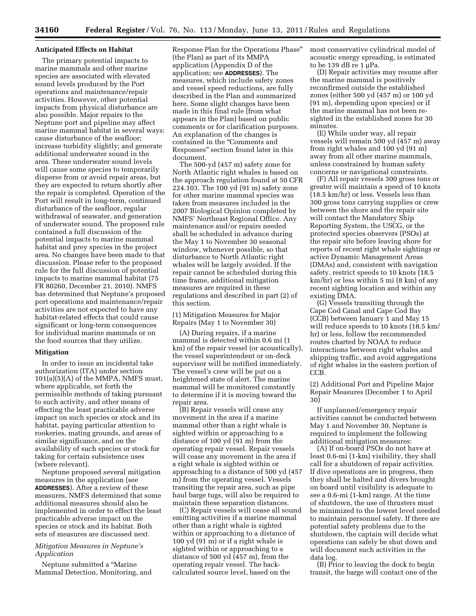# **Anticipated Effects on Habitat**

The primary potential impacts to marine mammals and other marine species are associated with elevated sound levels produced by the Port operations and maintenance/repair activities. However, other potential impacts from physical disturbance are also possible. Major repairs to the Neptune port and pipeline may affect marine mammal habitat in several ways: cause disturbance of the seafloor; increase turbidity slightly; and generate additional underwater sound in the area. These underwater sound levels will cause some species to temporarily disperse from or avoid repair areas, but they are expected to return shortly after the repair is completed. Operation of the Port will result in long-term, continued disturbance of the seafloor, regular withdrawal of seawater, and generation of underwater sound. The proposed rule contained a full discussion of the potential impacts to marine mammal habitat and prey species in the project area. No changes have been made to that discussion. Please refer to the proposed rule for the full discussion of potential impacts to marine mammal habitat (75 FR 80260, December 21, 2010). NMFS has determined that Neptune's proposed port operations and maintenance/repair activities are not expected to have any habitat-related effects that could cause significant or long-term consequences for individual marine mammals or on the food sources that they utilize.

#### **Mitigation**

In order to issue an incidental take authorization (ITA) under section 101(a)(5)(A) of the MMPA, NMFS must, where applicable, set forth the permissible methods of taking pursuant to such activity, and other means of effecting the least practicable adverse impact on such species or stock and its habitat, paying particular attention to rookeries, mating grounds, and areas of similar significance, and on the availability of such species or stock for taking for certain subsistence uses (where relevant).

Neptune proposed several mitigation measures in the application (see **ADDRESSES**). After a review of these measures, NMFS determined that some additional measures should also be implemented in order to effect the least practicable adverse impact on the species or stock and its habitat. Both sets of measures are discussed next.

### *Mitigation Measures in Neptune's Application*

Neptune submitted a ''Marine Mammal Detection, Monitoring, and

Response Plan for the Operations Phase'' (the Plan) as part of its MMPA application (Appendix D of the application; see **ADDRESSES**). The measures, which include safety zones and vessel speed reductions, are fully described in the Plan and summarized here. Some slight changes have been made in this final rule (from what appears in the Plan) based on public comments or for clarification purposes. An explanation of the changes is contained in the ''Comments and Responses'' section found later in this document.

The 500-yd (457 m) safety zone for North Atlantic right whales is based on the approach regulation found at 50 CFR 224.103. The 100 yd (91 m) safety zone for other marine mammal species was taken from measures included in the 2007 Biological Opinion completed by NMFS' Northeast Regional Office. Any maintenance and/or repairs needed shall be scheduled in advance during the May 1 to November 30 seasonal window, whenever possible, so that disturbance to North Atlantic right whales will be largely avoided. If the repair cannot be scheduled during this time frame, additional mitigation measures are required in these regulations and described in part (2) of this section.

(1) Mitigation Measures for Major Repairs (May 1 to November 30)

(A) During repairs, if a marine mammal is detected within 0.6 mi (1 km) of the repair vessel (or acoustically), the vessel superintendent or on-deck supervisor will be notified immediately. The vessel's crew will be put on a heightened state of alert. The marine mammal will be monitored constantly to determine if it is moving toward the repair area.

(B) Repair vessels will cease any movement in the area if a marine mammal other than a right whale is sighted within or approaching to a distance of 100 yd (91 m) from the operating repair vessel. Repair vessels will cease any movement in the area if a right whale is sighted within or approaching to a distance of 500 yd (457 m) from the operating vessel. Vessels transiting the repair area, such as pipe haul barge tugs, will also be required to maintain these separation distances.

(C) Repair vessels will cease all sound emitting activities if a marine mammal other than a right whale is sighted within or approaching to a distance of 100 yd (91 m) or if a right whale is sighted within or approaching to a distance of 500 yd (457 m), from the operating repair vessel. The backcalculated source level, based on the

most conservative cylindrical model of acoustic energy spreading, is estimated to be 139 dB re 1 μPa.

(D) Repair activities may resume after the marine mammal is positively reconfirmed outside the established zones (either 500 yd (457 m) or 100 yd (91 m), depending upon species) or if the marine mammal has not been resighted in the established zones for 30 minutes.

(E) While under way, all repair vessels will remain 500 yd (457 m) away from right whales and 100 yd (91 m) away from all other marine mammals, unless constrained by human safety concerns or navigational constraints.

(F) All repair vessels 300 gross tons or greater will maintain a speed of 10 knots (18.5 km/hr) or less. Vessels less than 300 gross tons carrying supplies or crew between the shore and the repair site will contact the Mandatory Ship Reporting System, the USCG, or the protected species observers (PSOs) at the repair site before leaving shore for reports of recent right whale sightings or active Dynamic Management Areas (DMAs) and, consistent with navigation safety, restrict speeds to 10 knots (18.5 km/hr) or less within 5 mi (8 km) of any recent sighting location and within any existing DMA.

(G) Vessels transiting through the Cape Cod Canal and Cape Cod Bay (CCB) between January 1 and May 15 will reduce speeds to 10 knots (18.5 km/ hr) or less, follow the recommended routes charted by NOAA to reduce interactions between right whales and shipping traffic, and avoid aggregations of right whales in the eastern portion of CCB.

(2) Additional Port and Pipeline Major Repair Measures (December 1 to April 30)

If unplanned/emergency repair activities cannot be conducted between May 1 and November 30, Neptune is required to implement the following additional mitigation measures:

(A) If on-board PSOs do not have at least 0.6-mi (1-km) visibility, they shall call for a shutdown of repair activities. If dive operations are in progress, then they shall be halted and divers brought on board until visibility is adequate to see a 0.6-mi (1-km) range. At the time of shutdown, the use of thrusters must be minimized to the lowest level needed to maintain personnel safety. If there are potential safety problems due to the shutdown, the captain will decide what operations can safely be shut down and will document such activities in the data log.

(B) Prior to leaving the dock to begin transit, the barge will contact one of the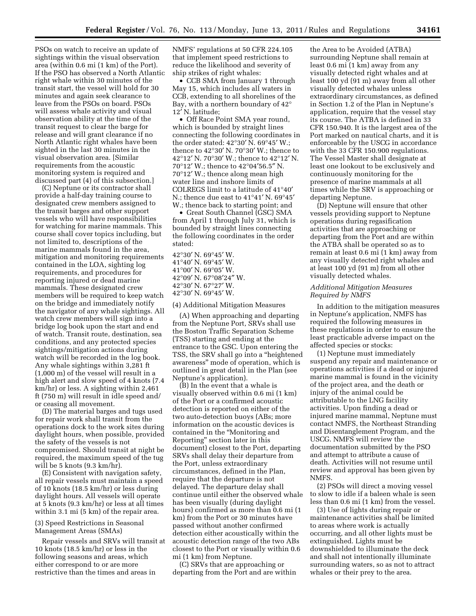PSOs on watch to receive an update of sightings within the visual observation area (within 0.6 mi (1 km) of the Port). If the PSO has observed a North Atlantic right whale within 30 minutes of the transit start, the vessel will hold for 30 minutes and again seek clearance to leave from the PSOs on board. PSOs will assess whale activity and visual observation ability at the time of the transit request to clear the barge for release and will grant clearance if no North Atlantic right whales have been sighted in the last 30 minutes in the visual observation area. [Similar requirements from the acoustic monitoring system is required and discussed part (4) of this subsection.]

(C) Neptune or its contractor shall provide a half-day training course to designated crew members assigned to the transit barges and other support vessels who will have responsibilities for watching for marine mammals. This course shall cover topics including, but not limited to, descriptions of the marine mammals found in the area, mitigation and monitoring requirements contained in the LOA, sighting log requirements, and procedures for reporting injured or dead marine mammals. These designated crew members will be required to keep watch on the bridge and immediately notify the navigator of any whale sightings. All watch crew members will sign into a bridge log book upon the start and end of watch. Transit route, destination, sea conditions, and any protected species sightings/mitigation actions during watch will be recorded in the log book. Any whale sightings within 3,281 ft (1,000 m) of the vessel will result in a high alert and slow speed of 4 knots (7.4 km/hr) or less. A sighting within 2,461 ft (750 m) will result in idle speed and/ or ceasing all movement.

(D) The material barges and tugs used for repair work shall transit from the operations dock to the work sites during daylight hours, when possible, provided the safety of the vessels is not compromised. Should transit at night be required, the maximum speed of the tug will be 5 knots (9.3 km/hr).

(E) Consistent with navigation safety, all repair vessels must maintain a speed of 10 knots (18.5 km/hr) or less during daylight hours. All vessels will operate at 5 knots (9.3 km/hr) or less at all times within 3.1 mi (5 km) of the repair area.

(3) Speed Restrictions in Seasonal Management Areas (SMAs)

Repair vessels and SRVs will transit at 10 knots (18.5 km/hr) or less in the following seasons and areas, which either correspond to or are more restrictive than the times and areas in

NMFS' regulations at 50 CFR 224.105 that implement speed restrictions to reduce the likelihood and severity of ship strikes of right whales:

• CCB SMA from January 1 through May 15, which includes all waters in CCB, extending to all shorelines of the Bay, with a northern boundary of 42° 12′ N. latitude;

• Off Race Point SMA year round, which is bounded by straight lines connecting the following coordinates in the order stated: 42°30′ N. 69°45′ W.; thence to 42°30′ N. 70°30′ W.; thence to 42°12′ N. 70°30′ W.; thence to 42°12′ N. 70°12′ W.; thence to 42°04′56.5″ N. 70°12′ W.; thence along mean high water line and inshore limits of COLREGS limit to a latitude of 41°40′ N.; thence due east to 41°41′ N. 69°45′ W.; thence back to starting point; and

• Great South Channel (GSC) SMA from April 1 through July 31, which is bounded by straight lines connecting the following coordinates in the order stated:

°30′ N. 69°45′ W. °40′ N. 69°45′ W. °00′ N. 69°05′ W. °09′ N. 67°08′24″ W. °30′ N. 67°27′ W. °30′ N. 69°45′ W.

(4) Additional Mitigation Measures

(A) When approaching and departing from the Neptune Port, SRVs shall use the Boston Traffic Separation Scheme (TSS) starting and ending at the entrance to the GSC. Upon entering the TSS, the SRV shall go into a ''heightened awareness'' mode of operation, which is outlined in great detail in the Plan (see Neptune's application).

(B) In the event that a whale is visually observed within 0.6 mi (1 km) of the Port or a confirmed acoustic detection is reported on either of the two auto-detection buoys (ABs; more information on the acoustic devices is contained in the ''Monitoring and Reporting'' section later in this document) closest to the Port, departing SRVs shall delay their departure from the Port, unless extraordinary circumstances, defined in the Plan, require that the departure is not delayed. The departure delay shall continue until either the observed whale has been visually (during daylight hours) confirmed as more than 0.6 mi (1 km) from the Port or 30 minutes have passed without another confirmed detection either acoustically within the acoustic detection range of the two ABs closest to the Port or visually within 0.6 mi (1 km) from Neptune.

(C) SRVs that are approaching or departing from the Port and are within

the Area to be Avoided (ATBA) surrounding Neptune shall remain at least 0.6 mi (1 km) away from any visually detected right whales and at least 100 yd (91 m) away from all other visually detected whales unless extraordinary circumstances, as defined in Section 1.2 of the Plan in Neptune's application, require that the vessel stay its course. The ATBA is defined in 33 CFR 150.940. It is the largest area of the Port marked on nautical charts, and it is enforceable by the USCG in accordance with the 33 CFR 150.900 regulations. The Vessel Master shall designate at least one lookout to be exclusively and continuously monitoring for the presence of marine mammals at all times while the SRV is approaching or departing Neptune.

(D) Neptune will ensure that other vessels providing support to Neptune operations during regasification activities that are approaching or departing from the Port and are within the ATBA shall be operated so as to remain at least 0.6 mi (1 km) away from any visually detected right whales and at least 100 yd (91 m) from all other visually detected whales.

### *Additional Mitigation Measures Required by NMFS*

In addition to the mitigation measures in Neptune′s application, NMFS has required the following measures in these regulations in order to ensure the least practicable adverse impact on the affected species or stocks:

(1) Neptune must immediately suspend any repair and maintenance or operations activities if a dead or injured marine mammal is found in the vicinity of the project area, and the death or injury of the animal could be attributable to the LNG facility activities. Upon finding a dead or injured marine mammal, Neptune must contact NMFS, the Northeast Stranding and Disentanglement Program, and the USCG. NMFS will review the documentation submitted by the PSO and attempt to attribute a cause of death. Activities will not resume until review and approval has been given by NMFS.

(2) PSOs will direct a moving vessel to slow to idle if a baleen whale is seen less than 0.6 mi (1 km) from the vessel.

(3) Use of lights during repair or maintenance activities shall be limited to areas where work is actually occurring, and all other lights must be extinguished. Lights must be downshielded to illuminate the deck and shall not intentionally illuminate surrounding waters, so as not to attract whales or their prey to the area.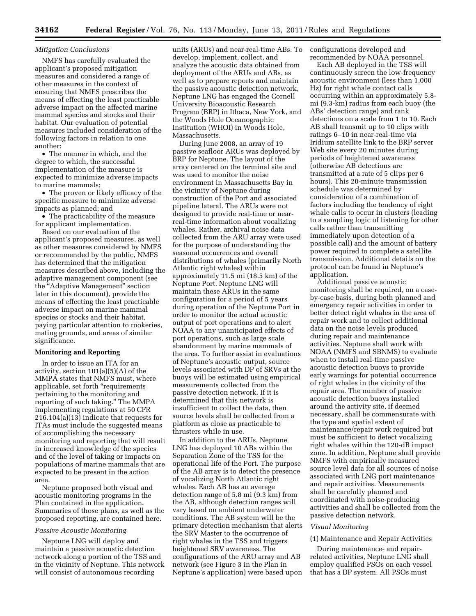### *Mitigation Conclusions*

NMFS has carefully evaluated the applicant's proposed mitigation measures and considered a range of other measures in the context of ensuring that NMFS prescribes the means of effecting the least practicable adverse impact on the affected marine mammal species and stocks and their habitat. Our evaluation of potential measures included consideration of the following factors in relation to one another:

• The manner in which, and the degree to which, the successful implementation of the measure is expected to minimize adverse impacts to marine mammals;

• The proven or likely efficacy of the specific measure to minimize adverse impacts as planned; and

• The practicability of the measure for applicant implementation.

Based on our evaluation of the applicant's proposed measures, as well as other measures considered by NMFS or recommended by the public, NMFS has determined that the mitigation measures described above, including the adaptive management component (see the ''Adaptive Management'' section later in this document), provide the means of effecting the least practicable adverse impact on marine mammal species or stocks and their habitat, paying particular attention to rookeries, mating grounds, and areas of similar significance.

#### **Monitoring and Reporting**

In order to issue an ITA for an activity, section 101(a)(5)(A) of the MMPA states that NMFS must, where applicable, set forth ''requirements pertaining to the monitoring and reporting of such taking.'' The MMPA implementing regulations at 50 CFR 216.104(a)(13) indicate that requests for ITAs must include the suggested means of accomplishing the necessary monitoring and reporting that will result in increased knowledge of the species and of the level of taking or impacts on populations of marine mammals that are expected to be present in the action area.

Neptune proposed both visual and acoustic monitoring programs in the Plan contained in the application. Summaries of those plans, as well as the proposed reporting, are contained here.

## *Passive Acoustic Monitoring*

Neptune LNG will deploy and maintain a passive acoustic detection network along a portion of the TSS and in the vicinity of Neptune. This network will consist of autonomous recording

units (ARUs) and near-real-time ABs. To develop, implement, collect, and analyze the acoustic data obtained from deployment of the ARUs and ABs, as well as to prepare reports and maintain the passive acoustic detection network, Neptune LNG has engaged the Cornell University Bioacoustic Research Program (BRP) in Ithaca, New York, and the Woods Hole Oceanographic Institution (WHOI) in Woods Hole, Massachusetts.

During June 2008, an array of 19 passive seafloor ARUs was deployed by BRP for Neptune. The layout of the array centered on the terminal site and was used to monitor the noise environment in Massachusetts Bay in the vicinity of Neptune during construction of the Port and associated pipeline lateral. The ARUs were not designed to provide real-time or nearreal-time information about vocalizing whales. Rather, archival noise data collected from the ARU array were used for the purpose of understanding the seasonal occurrences and overall distributions of whales (primarily North Atlantic right whales) within approximately 11.5 mi (18.5 km) of the Neptune Port. Neptune LNG will maintain these ARUs in the same configuration for a period of 5 years during operation of the Neptune Port in order to monitor the actual acoustic output of port operations and to alert NOAA to any unanticipated effects of port operations, such as large scale abandonment by marine mammals of the area. To further assist in evaluations of Neptune's acoustic output, source levels associated with DP of SRVs at the buoys will be estimated using empirical measurements collected from the passive detection network. If it is determined that this network is insufficient to collect the data, then source levels shall be collected from a platform as close as practicable to thrusters while in use.

In addition to the ARUs, Neptune LNG has deployed 10 ABs within the Separation Zone of the TSS for the operational life of the Port. The purpose of the AB array is to detect the presence of vocalizing North Atlantic right whales. Each AB has an average detection range of 5.8 mi (9.3 km) from the AB, although detection ranges will vary based on ambient underwater conditions. The AB system will be the primary detection mechanism that alerts the SRV Master to the occurrence of right whales in the TSS and triggers heightened SRV awareness. The configurations of the ARU array and AB network (see Figure 3 in the Plan in Neptune's application) were based upon

configurations developed and recommended by NOAA personnel.

Each AB deployed in the TSS will continuously screen the low-frequency acoustic environment (less than 1,000 Hz) for right whale contact calls occurring within an approximately 5.8 mi (9.3-km) radius from each buoy (the ABs' detection range) and rank detections on a scale from 1 to 10. Each AB shall transmit up to 10 clips with ratings 6–10 in near-real-time via Iridium satellite link to the BRP server Web site every 20 minutes during periods of heightened awareness (otherwise AB detections are transmitted at a rate of 5 clips per 6 hours). This 20-minute transmission schedule was determined by consideration of a combination of factors including the tendency of right whale calls to occur in clusters (leading to a sampling logic of listening for other calls rather than transmitting immediately upon detection of a possible call) and the amount of battery power required to complete a satellite transmission. Additional details on the protocol can be found in Neptune's application.

Additional passive acoustic monitoring shall be required, on a caseby-case basis, during both planned and emergency repair activities in order to better detect right whales in the area of repair work and to collect additional data on the noise levels produced during repair and maintenance activities. Neptune shall work with NOAA (NMFS and SBNMS) to evaluate when to install real-time passive acoustic detection buoys to provide early warnings for potential occurrence of right whales in the vicinity of the repair area. The number of passive acoustic detection buoys installed around the activity site, if deemed necessary, shall be commensurate with the type and spatial extent of maintenance/repair work required but must be sufficient to detect vocalizing right whales within the 120-dB impact zone. In addition, Neptune shall provide NMFS with empirically measured source level data for all sources of noise associated with LNG port maintenance and repair activities. Measurements shall be carefully planned and coordinated with noise-producing activities and shall be collected from the passive detection network.

#### *Visual Monitoring*

#### (1) Maintenance and Repair Activities

During maintenance- and repairrelated activities, Neptune LNG shall employ qualified PSOs on each vessel that has a DP system. All PSOs must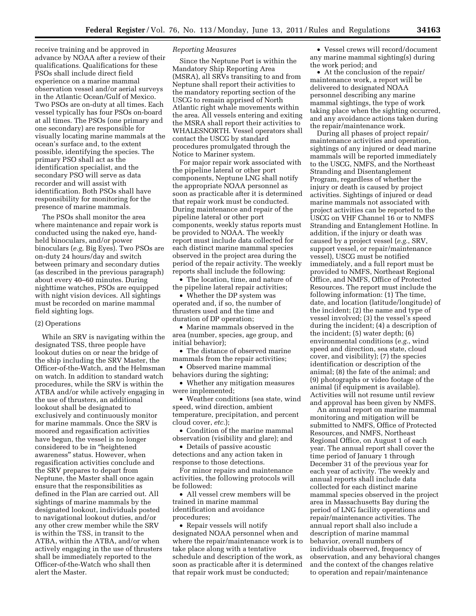receive training and be approved in advance by NOAA after a review of their qualifications. Qualifications for these PSOs shall include direct field experience on a marine mammal observation vessel and/or aerial surveys in the Atlantic Ocean/Gulf of Mexico. Two PSOs are on-duty at all times. Each vessel typically has four PSOs on-board at all times. The PSOs (one primary and one secondary) are responsible for visually locating marine mammals at the ocean's surface and, to the extent possible, identifying the species. The primary PSO shall act as the identification specialist, and the secondary PSO will serve as data recorder and will assist with identification. Both PSOs shall have responsibility for monitoring for the presence of marine mammals.

The PSOs shall monitor the area where maintenance and repair work is conducted using the naked eye, handheld binoculars, and/or power binoculars (*e.g,* Big Eyes). Two PSOs are on-duty 24 hours/day and switch between primary and secondary duties (as described in the previous paragraph) about every 40–60 minutes. During nighttime watches, PSOs are equipped with night vision devices. All sightings must be recorded on marine mammal field sighting logs.

### (2) Operations

While an SRV is navigating within the designated TSS, three people have lookout duties on or near the bridge of the ship including the SRV Master, the Officer-of-the-Watch, and the Helmsman on watch. In addition to standard watch procedures, while the SRV is within the ATBA and/or while actively engaging in the use of thrusters, an additional lookout shall be designated to exclusively and continuously monitor for marine mammals. Once the SRV is moored and regasification activities have begun, the vessel is no longer considered to be in ''heightened awareness'' status. However, when regasification activities conclude and the SRV prepares to depart from Neptune, the Master shall once again ensure that the responsibilities as defined in the Plan are carried out. All sightings of marine mammals by the designated lookout, individuals posted to navigational lookout duties, and/or any other crew member while the SRV is within the TSS, in transit to the ATBA, within the ATBA, and/or when actively engaging in the use of thrusters shall be immediately reported to the Officer-of-the-Watch who shall then alert the Master.

### *Reporting Measures*

Since the Neptune Port is within the Mandatory Ship Reporting Area (MSRA), all SRVs transiting to and from Neptune shall report their activities to the mandatory reporting section of the USCG to remain apprised of North Atlantic right whale movements within the area. All vessels entering and exiting the MSRA shall report their activities to WHALESNORTH. Vessel operators shall contact the USCG by standard procedures promulgated through the Notice to Mariner system.

For major repair work associated with the pipeline lateral or other port components, Neptune LNG shall notify the appropriate NOAA personnel as soon as practicable after it is determined that repair work must be conducted. During maintenance and repair of the pipeline lateral or other port components, weekly status reports must be provided to NOAA. The weekly report must include data collected for each distinct marine mammal species observed in the project area during the period of the repair activity. The weekly reports shall include the following:

• The location, time, and nature of the pipeline lateral repair activities;

• Whether the DP system was operated and, if so, the number of thrusters used and the time and duration of DP operation;

• Marine mammals observed in the area (number, species, age group, and initial behavior);

• The distance of observed marine mammals from the repair activities;

• Observed marine mammal behaviors during the sighting;

• Whether any mitigation measures were implemented;

• Weather conditions (sea state, wind speed, wind direction, ambient temperature, precipitation, and percent cloud cover, *etc.*);

• Condition of the marine mammal observation (visibility and glare); and

• Details of passive acoustic detections and any action taken in response to those detections.

For minor repairs and maintenance activities, the following protocols will be followed:

• All vessel crew members will be trained in marine mammal identification and avoidance procedures;

• Repair vessels will notify designated NOAA personnel when and where the repair/maintenance work is to take place along with a tentative schedule and description of the work, as soon as practicable after it is determined that repair work must be conducted;

• Vessel crews will record/document any marine mammal sighting(s) during the work period; and

• At the conclusion of the repair/ maintenance work, a report will be delivered to designated NOAA personnel describing any marine mammal sightings, the type of work taking place when the sighting occurred, and any avoidance actions taken during the repair/maintenance work.

During all phases of project repair/ maintenance activities and operation, sightings of any injured or dead marine mammals will be reported immediately to the USCG, NMFS, and the Northeast Stranding and Disentanglement Program, regardless of whether the injury or death is caused by project activities. Sightings of injured or dead marine mammals not associated with project activities can be reported to the USCG on VHF Channel 16 or to NMFS Stranding and Entanglement Hotline. In addition, if the injury or death was caused by a project vessel (*e.g.*, SRV, support vessel, or repair/maintenance vessel), USCG must be notified immediately, and a full report must be provided to NMFS, Northeast Regional Office, and NMFS, Office of Protected Resources. The report must include the following information: (1) The time, date, and location (latitude/longitude) of the incident; (2) the name and type of vessel involved; (3) the vessel's speed during the incident; (4) a description of the incident; (5) water depth; (6) environmental conditions (*e.g.*, wind speed and direction, sea state, cloud cover, and visibility); (7) the species identification or description of the animal; (8) the fate of the animal; and (9) photographs or video footage of the animal (if equipment is available). Activities will not resume until review and approval has been given by NMFS.

An annual report on marine mammal monitoring and mitigation will be submitted to NMFS, Office of Protected Resources, and NMFS, Northeast Regional Office, on August 1 of each year. The annual report shall cover the time period of January 1 through December 31 of the previous year for each year of activity. The weekly and annual reports shall include data collected for each distinct marine mammal species observed in the project area in Massachusetts Bay during the period of LNG facility operations and repair/maintenance activities. The annual report shall also include a description of marine mammal behavior, overall numbers of individuals observed, frequency of observation, and any behavioral changes and the context of the changes relative to operation and repair/maintenance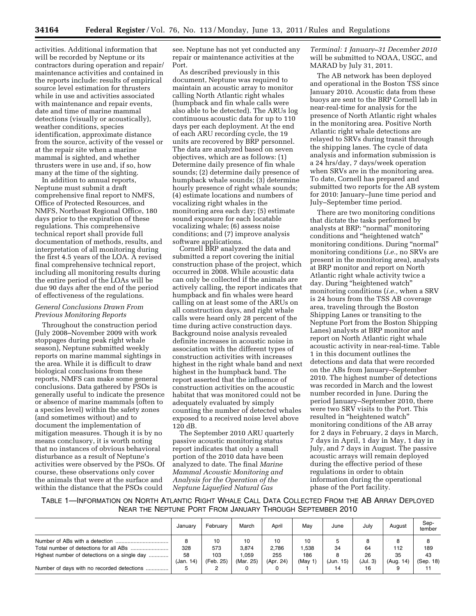activities. Additional information that will be recorded by Neptune or its contractors during operation and repair/ maintenance activities and contained in the reports include: results of empirical source level estimation for thrusters while in use and activities associated with maintenance and repair events, date and time of marine mammal detections (visually or acoustically), weather conditions, species identification, approximate distance from the source, activity of the vessel or at the repair site when a marine mammal is sighted, and whether thrusters were in use and, if so, how many at the time of the sighting.

In addition to annual reports, Neptune must submit a draft comprehensive final report to NMFS, Office of Protected Resources, and NMFS, Northeast Regional Office, 180 days prior to the expiration of these regulations. This comprehensive technical report shall provide full documentation of methods, results, and interpretation of all monitoring during the first 4.5 years of the LOA. A revised final comprehensive technical report, including all monitoring results during the entire period of the LOAs will be due 90 days after the end of the period of effectiveness of the regulations.

## *General Conclusions Drawn From Previous Monitoring Reports*

Throughout the construction period (July 2008–November 2009 with work stoppages during peak right whale season), Neptune submitted weekly reports on marine mammal sightings in the area. While it is difficult to draw biological conclusions from these reports, NMFS can make some general conclusions. Data gathered by PSOs is generally useful to indicate the presence or absence of marine mammals (often to a species level) within the safety zones (and sometimes without) and to document the implementation of mitigation measures. Though it is by no means conclusory, it is worth noting that no instances of obvious behavioral disturbance as a result of Neptune's activities were observed by the PSOs. Of course, these observations only cover the animals that were at the surface and within the distance that the PSOs could

see. Neptune has not yet conducted any repair or maintenance activities at the Port.

As described previously in this document, Neptune was required to maintain an acoustic array to monitor calling North Atlantic right whales (humpback and fin whale calls were also able to be detected). The ARUs log continuous acoustic data for up to 110 days per each deployment. At the end of each ARU recording cycle, the 19 units are recovered by BRP personnel. The data are analyzed based on seven objectives, which are as follows: (1) Determine daily presence of fin whale sounds; (2) determine daily presence of humpback whale sounds; (3) determine hourly presence of right whale sounds; (4) estimate locations and numbers of vocalizing right whales in the monitoring area each day; (5) estimate sound exposure for each locatable vocalizing whale; (6) assess noise conditions; and (7) improve analysis software applications.

Cornell BRP analyzed the data and submitted a report covering the initial construction phase of the project, which occurred in 2008. While acoustic data can only be collected if the animals are actively calling, the report indicates that humpback and fin whales were heard calling on at least some of the ARUs on all construction days, and right whale calls were heard only 28 percent of the time during active construction days. Background noise analysis revealed definite increases in acoustic noise in association with the different types of construction activities with increases highest in the right whale band and next highest in the humpback band. The report asserted that the influence of construction activities on the acoustic habitat that was monitored could not be adequately evaluated by simply counting the number of detected whales exposed to a received noise level above 120 dB.

The September 2010 ARU quarterly passive acoustic monitoring status report indicates that only a small portion of the 2010 data have been analyzed to date. The final *Marine Mammal Acoustic Monitoring and Analysis for the Operation of the Neptune Liquefied Natural Gas* 

*Terminal: 1 January–31 December 2010*  will be submitted to NOAA, USGC, and MARAD by July 31, 2011.

The AB network has been deployed and operational in the Boston TSS since January 2010. Acoustic data from these buoys are sent to the BRP Cornell lab in near-real-time for analysis for the presence of North Atlantic right whales in the monitoring area. Positive North Atlantic right whale detections are relayed to SRVs during transit through the shipping lanes. The cycle of data analysis and information submission is a 24 hrs/day, 7 days/week operation when SRVs are in the monitoring area. To date, Cornell has prepared and submitted two reports for the AB system for 2010: January–June time period and July–September time period.

There are two monitoring conditions that dictate the tasks performed by analysts at BRP: ''normal'' monitoring conditions and ''heightened watch'' monitoring conditions. During "normal" monitoring conditions (*i.e.,* no SRVs are present in the monitoring area), analysts at BRP monitor and report on North Atlantic right whale activity twice a day. During ''heightened watch'' monitoring conditions (*i.e.,* when a SRV is 24 hours from the TSS AB coverage area, traveling through the Boston Shipping Lanes or transiting to the Neptune Port from the Boston Shipping Lanes) analysts at BRP monitor and report on North Atlantic right whale acoustic activity in near-real-time. Table 1 in this document outlines the detections and data that were recorded on the ABs from January–September 2010. The highest number of detections was recorded in March and the lowest number recorded in June. During the period January–September 2010, there were two SRV visits to the Port. This resulted in ''heightened watch'' monitoring conditions of the AB array for 2 days in February, 2 days in March, 7 days in April, 1 day in May, 1 day in July, and 7 days in August. The passive acoustic arrays will remain deployed during the effective period of these regulations in order to obtain information during the operational phase of the Port facility.

| Table 1—Information on North Atlantic Right Whale Call Data Collected From the AB Array Deployed |  |
|--------------------------------------------------------------------------------------------------|--|
| NEAR THE NEPTUNE PORT FROM JANUARY THROUGH SEPTEMBER 2010                                        |  |

|                                                                                        | Januarv      | February         | March                | April              | Mav               | June            | July           | August       | Sep-<br>tember |
|----------------------------------------------------------------------------------------|--------------|------------------|----------------------|--------------------|-------------------|-----------------|----------------|--------------|----------------|
| Total number of detections for all ABs<br>Highest number of detections on a single day | 328<br>58    | 10<br>573<br>103 | 10<br>3.874<br>1.059 | 10<br>2.786<br>255 | 10<br>.538<br>186 | 34              | 64<br>26       | 112<br>35    | 189<br>43      |
| Number of days with no recorded detections                                             | (Jan.<br>14) | (Feb. 25)        | (Mar. 25)            | (Apr. 24)          | (Mav 1)           | (Jun. 15)<br>14 | (Jul. 3)<br>16 | (Aug.<br>14) | (Sep. 18)      |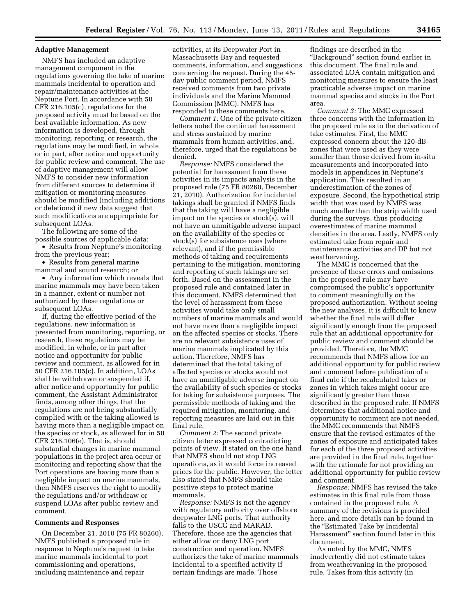### **Adaptive Management**

NMFS has included an adaptive management component in the regulations governing the take of marine mammals incidental to operation and repair/maintenance activities at the Neptune Port. In accordance with 50 CFR 216.105(c), regulations for the proposed activity must be based on the best available information. As new information is developed, through monitoring, reporting, or research, the regulations may be modified, in whole or in part, after notice and opportunity for public review and comment. The use of adaptive management will allow NMFS to consider new information from different sources to determine if mitigation or monitoring measures should be modified (including additions or deletions) if new data suggest that such modifications are appropriate for subsequent LOAs.

The following are some of the possible sources of applicable data:

• Results from Neptune's monitoring from the previous year;

• Results from general marine mammal and sound research; or

• Any information which reveals that marine mammals may have been taken in a manner, extent or number not authorized by these regulations or subsequent LOAs.

If, during the effective period of the regulations, new information is presented from monitoring, reporting, or research, these regulations may be modified, in whole, or in part after notice and opportunity for public review and comment, as allowed for in 50 CFR 216.105(c). In addition, LOAs shall be withdrawn or suspended if, after notice and opportunity for public comment, the Assistant Administrator finds, among other things, that the regulations are not being substantially complied with or the taking allowed is having more than a negligible impact on the species or stock, as allowed for in 50 CFR 216.106(e). That is, should substantial changes in marine mammal populations in the project area occur or monitoring and reporting show that the Port operations are having more than a negligible impact on marine mammals, then NMFS reserves the right to modify the regulations and/or withdraw or suspend LOAs after public review and comment.

#### **Comments and Responses**

On December 21, 2010 (75 FR 80260), NMFS published a proposed rule in response to Neptune's request to take marine mammals incidental to port commissioning and operations, including maintenance and repair

activities, at its Deepwater Port in Massachusetts Bay and requested comments, information, and suggestions concerning the request. During the 45 day public comment period, NMFS received comments from two private individuals and the Marine Mammal Commission (MMC). NMFS has responded to these comments here.

*Comment 1:* One of the private citizen letters noted the continual harassment and stress sustained by marine mammals from human activities, and, therefore, urged that the regulations be denied.

*Response:* NMFS considered the potential for harassment from these activities in its impacts analysis in the proposed rule (75 FR 80260, December 21, 2010). Authorization for incidental takings shall be granted if NMFS finds that the taking will have a negligible impact on the species or stock(s), will not have an unmitigable adverse impact on the availability of the species or stock(s) for subsistence uses (where relevant), and if the permissible methods of taking and requirements pertaining to the mitigation, monitoring and reporting of such takings are set forth. Based on the assessment in the proposed rule and contained later in this document, NMFS determined that the level of harassment from these activities would take only small numbers of marine mammals and would not have more than a negligible impact on the affected species or stocks. There are no relevant subsistence uses of marine mammals implicated by this action. Therefore, NMFS has determined that the total taking of affected species or stocks would not have an unmitigable adverse impact on the availability of such species or stocks for taking for subsistence purposes. The permissible methods of taking and the required mitigation, monitoring, and reporting measures are laid out in this final rule.

*Comment 2:* The second private citizen letter expressed contradicting points of view. It stated on the one hand that NMFS should not stop LNG operations, as it would force increased prices for the public. However, the letter also stated that NMFS should take positive steps to protect marine mammals.

*Response:* NMFS is not the agency with regulatory authority over offshore deepwater LNG ports. That authority falls to the USCG and MARAD. Therefore, those are the agencies that either allow or deny LNG port construction and operation. NMFS authorizes the take of marine mammals incidental to a specified activity if certain findings are made. Those

findings are described in the ''Background'' section found earlier in this document. The final rule and associated LOA contain mitigation and monitoring measures to ensure the least practicable adverse impact on marine mammal species and stocks in the Port area.

*Comment 3:* The MMC expressed three concerns with the information in the proposed rule as to the derivation of take estimates. First, the MMC expressed concern about the 120-dB zones that were used as they were smaller than those derived from in-situ measurements and incorporated into models in appendices in Neptune's application. This resulted in an underestimation of the zones of exposure. Second, the hypothetical strip width that was used by NMFS was much smaller than the strip width used during the surveys, thus producing overestimates of marine mammal densities in the area. Lastly, NMFS only estimated take from repair and maintenance activities and DP but not weathervaning.

The MMC is concerned that the presence of these errors and omissions in the proposed rule may have compromised the public's opportunity to comment meaningfully on the proposed authorization. Without seeing the new analyses, it is difficult to know whether the final rule will differ significantly enough from the proposed rule that an additional opportunity for public review and comment should be provided. Therefore, the MMC recommends that NMFS allow for an additional opportunity for public review and comment before publication of a final rule if the recalculated takes or zones in which takes might occur are significantly greater than those described in the proposed rule. If NMFS determines that additional notice and opportunity to comment are not needed, the MMC recommends that NMFS ensure that the revised estimates of the zones of exposure and anticipated takes for each of the three proposed activities are provided in the final rule, together with the rationale for not providing an additional opportunity for public review and comment.

*Response:* NMFS has revised the take estimates in this final rule from those contained in the proposed rule. A summary of the revisions is provided here, and more details can be found in the ''Estimated Take by Incidental Harassment'' section found later in this document.

As noted by the MMC, NMFS inadvertently did not estimate takes from weathervaning in the proposed rule. Takes from this activity (in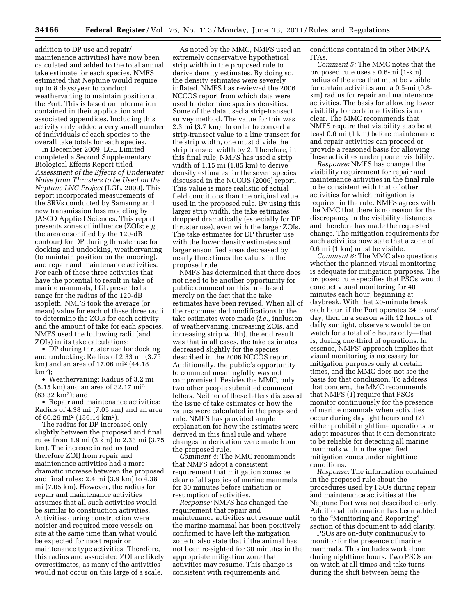addition to DP use and repair/ maintenance activities) have now been calculated and added to the total annual take estimate for each species. NMFS estimated that Neptune would require up to 8 days/year to conduct weathervaning to maintain position at the Port. This is based on information contained in their application and associated appendices. Including this activity only added a very small number of individuals of each species to the overall take totals for each species.

In December 2009, LGL Limited completed a Second Supplementary Biological Effects Report titled *Assessment of the Effects of Underwater Noise from Thrusters to be Used on the Neptune LNG Project* (LGL, 2009). This report incorporated measurements of the SRVs conducted by Samsung and new transmission loss modeling by JASCO Applied Sciences. This report presents zones of influence (ZOIs; *e.g.,*  the area ensonified by the 120-dB contour) for DP during thruster use for docking and undocking, weathervaning (to maintain position on the mooring), and repair and maintenance activities. For each of these three activities that have the potential to result in take of marine mammals, LGL presented a range for the radius of the 120-dB isopleth. NMFS took the average (or mean) value for each of these three radii to determine the ZOIs for each activity and the amount of take for each species. NMFS used the following radii (and ZOIs) in its take calculations:

• DP during thruster use for docking and undocking: Radius of 2.33 mi (3.75 km) and an area of 17.06 mi2 (44.18  $km<sup>2</sup>$ :

• Weathervaning: Radius of 3.2 mi (5.15 km) and an area of 32.17 mi2  $(83.32 \text{ km}^2)$ ; and

• Repair and maintenance activities: Radius of 4.38 mi (7.05 km) and an area of 60.29 mi2 (156.14 km2).

The radius for DP increased only slightly between the proposed and final rules from 1.9 mi (3 km) to 2.33 mi (3.75 km). The increase in radius (and therefore ZOI) from repair and maintenance activities had a more dramatic increase between the proposed and final rules: 2.4 mi (3.9 km) to 4.38 mi (7.05 km). However, the radius for repair and maintenance activities assumes that all such activities would be similar to construction activities. Activities during construction were noisier and required more vessels on site at the same time than what would be expected for most repair or maintenance type activities. Therefore, this radius and associated ZOI are likely overestimates, as many of the activities would not occur on this large of a scale.

As noted by the MMC, NMFS used an extremely conservative hypothetical strip width in the proposed rule to derive density estimates. By doing so, the density estimates were severely inflated. NMFS has reviewed the 2006 NCCOS report from which data were used to determine species densities. Some of the data used a strip-transect survey method. The value for this was 2.3 mi (3.7 km). In order to convert a strip-transect value to a line transect for the strip width, one must divide the strip transect width by 2. Therefore, in this final rule, NMFS has used a strip width of 1.15 mi (1.85 km) to derive density estimates for the seven species discussed in the NCCOS (2006) report. This value is more realistic of actual field conditions than the original value used in the proposed rule. By using this larger strip width, the take estimates dropped dramatically (especially for DP thruster use), even with the larger ZOIs. The take estimates for DP thruster use with the lower density estimates and larger ensonified areas decreased by nearly three times the values in the proposed rule.

NMFS has determined that there does not need to be another opportunity for public comment on this rule based merely on the fact that the take estimates have been revised. When all of the recommended modifications to the take estimates were made (*i.e.,* inclusion of weathervaning, increasing ZOIs, and increasing strip width), the end result was that in all cases, the take estimates decreased slightly for the species described in the 2006 NCCOS report. Additionally, the public's opportunity to comment meaningfully was not compromised. Besides the MMC, only two other people submitted comment letters. Neither of these letters discussed the issue of take estimates or how the values were calculated in the proposed rule. NMFS has provided ample explanation for how the estimates were derived in this final rule and where changes in derivation were made from the proposed rule.

*Comment 4:* The MMC recommends that NMFS adopt a consistent requirement that mitigation zones be clear of all species of marine mammals for 30 minutes before initiation or resumption of activities.

*Response:* NMFS has changed the requirement that repair and maintenance activities not resume until the marine mammal has been positively confirmed to have left the mitigation zone to also state that if the animal has not been re-sighted for 30 minutes in the appropriate mitigation zone that activities may resume. This change is consistent with requirements and

conditions contained in other MMPA ITAs.

*Comment 5:* The MMC notes that the proposed rule uses a 0.6-mi (1-km) radius of the area that must be visible for certain activities and a 0.5-mi (0.8 km) radius for repair and maintenance activities. The basis for allowing lower visibility for certain activities is not clear. The MMC recommends that NMFS require that visibility also be at least 0.6 mi (1 km) before maintenance and repair activities can proceed or provide a reasoned basis for allowing these activities under poorer visibility.

*Response:* NMFS has changed the visibility requirement for repair and maintenance activities in the final rule to be consistent with that of other activities for which mitigation is required in the rule. NMFS agrees with the MMC that there is no reason for the discrepancy in the visibility distances and therefore has made the requested change. The mitigation requirements for such activities now state that a zone of 0.6 mi (1 km) must be visible.

*Comment 6:* The MMC also questions whether the planned visual monitoring is adequate for mitigation purposes. The proposed rule specifies that PSOs would conduct visual monitoring for 40 minutes each hour, beginning at daybreak. With that 20-minute break each hour, if the Port operates 24 hours/ day, then in a season with 12 hours of daily sunlight, observers would be on watch for a total of 8 hours only—that is, during one-third of operations. In essence, NMFS' approach implies that visual monitoring is necessary for mitigation purposes only at certain times, and the MMC does not see the basis for that conclusion. To address that concern, the MMC recommends that NMFS (1) require that PSOs monitor continuously for the presence of marine mammals when activities occur during daylight hours and (2) either prohibit nighttime operations or adopt measures that it can demonstrate to be reliable for detecting all marine mammals within the specified mitigation zones under nighttime conditions.

*Response:* The information contained in the proposed rule about the procedures used by PSOs during repair and maintenance activities at the Neptune Port was not described clearly. Additional information has been added to the ''Monitoring and Reporting'' section of this document to add clarity.

PSOs are on-duty continuously to monitor for the presence of marine mammals. This includes work done during nighttime hours. Two PSOs are on-watch at all times and take turns during the shift between being the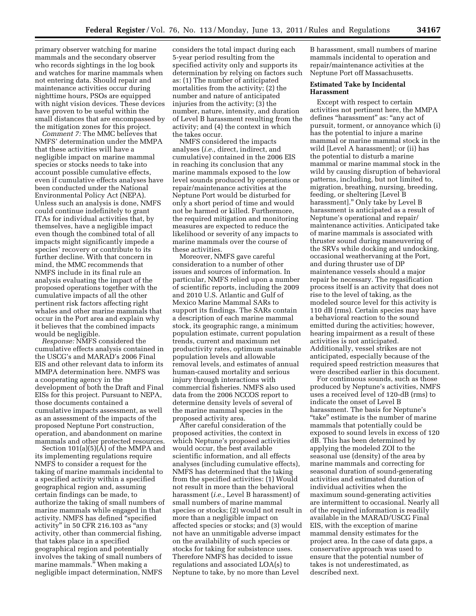primary observer watching for marine mammals and the secondary observer who records sightings in the log book and watches for marine mammals when not entering data. Should repair and maintenance activities occur during nighttime hours, PSOs are equipped with night vision devices. These devices have proven to be useful within the small distances that are encompassed by the mitigation zones for this project.

*Comment 7:* The MMC believes that NMFS' determination under the MMPA that these activities will have a negligible impact on marine mammal species or stocks needs to take into account possible cumulative effects, even if cumulative effects analyses have been conducted under the National Environmental Policy Act (NEPA). Unless such an analysis is done, NMFS could continue indefinitely to grant ITAs for individual activities that, by themselves, have a negligible impact even though the combined total of all impacts might significantly impede a species' recovery or contribute to its further decline. With that concern in mind, the MMC recommends that NMFS include in its final rule an analysis evaluating the impact of the proposed operations together with the cumulative impacts of all the other pertinent risk factors affecting right whales and other marine mammals that occur in the Port area and explain why it believes that the combined impacts would be negligible.

*Response:* NMFS considered the cumulative effects analysis contained in the USCG's and MARAD's 2006 Final EIS and other relevant data to inform its MMPA determination here. NMFS was a cooperating agency in the development of both the Draft and Final EISs for this project. Pursuant to NEPA, those documents contained a cumulative impacts assessment, as well as an assessment of the impacts of the proposed Neptune Port construction, operation, and abandonment on marine mammals and other protected resources.

Section 101(a)(5)(A) of the MMPA and its implementing regulations require NMFS to consider a request for the taking of marine mammals incidental to a specified activity within a specified geographical region and, assuming certain findings can be made, to authorize the taking of small numbers of marine mammals while engaged in that activity. NMFS has defined ''specified activity'' in 50 CFR 216.103 as ''any activity, other than commercial fishing, that takes place in a specified geographical region and potentially involves the taking of small numbers of marine mammals." When making a negligible impact determination, NMFS

considers the total impact during each 5-year period resulting from the specified activity only and supports its determination by relying on factors such as: (1) The number of anticipated mortalities from the activity; (2) the number and nature of anticipated injuries from the activity; (3) the number, nature, intensity, and duration of Level B harassment resulting from the activity; and (4) the context in which the takes occur.

NMFS considered the impacts analyses (*i.e.,* direct, indirect, and cumulative) contained in the 2006 EIS in reaching its conclusion that any marine mammals exposed to the low level sounds produced by operations or repair/maintenance activities at the Neptune Port would be disturbed for only a short period of time and would not be harmed or killed. Furthermore, the required mitigation and monitoring measures are expected to reduce the likelihood or severity of any impacts to marine mammals over the course of these activities.

Moreover, NMFS gave careful consideration to a number of other issues and sources of information. In particular, NMFS relied upon a number of scientific reports, including the 2009 and 2010 U.S. Atlantic and Gulf of Mexico Marine Mammal SARs to support its findings. The SARs contain a description of each marine mammal stock, its geographic range, a minimum population estimate, current population trends, current and maximum net productivity rates, optimum sustainable population levels and allowable removal levels, and estimates of annual human-caused mortality and serious injury through interactions with commercial fisheries. NMFS also used data from the 2006 NCCOS report to determine density levels of several of the marine mammal species in the proposed activity area.

After careful consideration of the proposed activities, the context in which Neptune's proposed activities would occur, the best available scientific information, and all effects analyses (including cumulative effects), NMFS has determined that the taking from the specified activities: (1) Would not result in more than the behavioral harassment (*i.e.,* Level B harassment) of small numbers of marine mammal species or stocks; (2) would not result in more than a negligible impact on affected species or stocks; and (3) would not have an unmitigable adverse impact on the availability of such species or stocks for taking for subsistence uses. Therefore NMFS has decided to issue regulations and associated LOA(s) to Neptune to take, by no more than Level

B harassment, small numbers of marine mammals incidental to operation and repair/maintenance activities at the Neptune Port off Massachusetts.

## **Estimated Take by Incidental Harassment**

Except with respect to certain activities not pertinent here, the MMPA defines "harassment" as: "any act of pursuit, torment, or annoyance which (i) has the potential to injure a marine mammal or marine mammal stock in the wild [Level A harassment]; or (ii) has the potential to disturb a marine mammal or marine mammal stock in the wild by causing disruption of behavioral patterns, including, but not limited to, migration, breathing, nursing, breeding, feeding, or sheltering [Level B harassment].'' Only take by Level B harassment is anticipated as a result of Neptune's operational and repair/ maintenance activities. Anticipated take of marine mammals is associated with thruster sound during maneuvering of the SRVs while docking and undocking, occasional weathervaning at the Port, and during thruster use of DP maintenance vessels should a major repair be necessary. The regasification process itself is an activity that does not rise to the level of taking, as the modeled source level for this activity is 110 dB (rms). Certain species may have a behavioral reaction to the sound emitted during the activities; however, hearing impairment as a result of these activities is not anticipated. Additionally, vessel strikes are not anticipated, especially because of the required speed restriction measures that were described earlier in this document.

For continuous sounds, such as those produced by Neptune's activities, NMFS uses a received level of 120-dB (rms) to indicate the onset of Level B harassment. The basis for Neptune's ''take'' estimate is the number of marine mammals that potentially could be exposed to sound levels in excess of 120 dB. This has been determined by applying the modeled ZOI to the seasonal use (density) of the area by marine mammals and correcting for seasonal duration of sound-generating activities and estimated duration of individual activities when the maximum sound-generating activities are intermittent to occasional. Nearly all of the required information is readily available in the MARAD/USCG Final EIS, with the exception of marine mammal density estimates for the project area. In the case of data gaps, a conservative approach was used to ensure that the potential number of takes is not underestimated, as described next.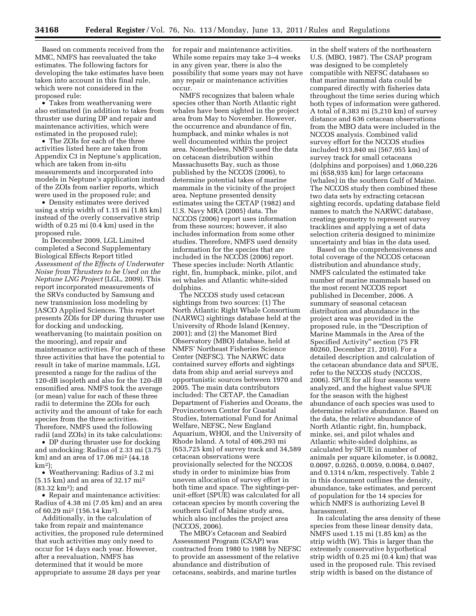Based on comments received from the MMC, NMFS has reevaluated the take estimates. The following factors for developing the take estimates have been taken into account in this final rule, which were not considered in the proposed rule:

• Takes from weathervaning were also estimated (in addition to takes from thruster use during DP and repair and maintenance activities, which were estimated in the proposed rule);

• The ZOIs for each of the three activities listed here are taken from Appendix C3 in Neptune's application, which are taken from in-situ measurements and incorporated into models in Neptune's application instead of the ZOIs from earlier reports, which were used in the proposed rule; and

• Density estimates were derived using a strip width of 1.15 mi (1.85 km) instead of the overly conservative strip width of 0.25 mi (0.4 km) used in the proposed rule.

In December 2009, LGL Limited completed a Second Supplementary Biological Effects Report titled *Assessment of the Effects of Underwater Noise from Thrusters to be Used on the Neptune LNG Project* (LGL, 2009). This report incorporated measurements of the SRVs conducted by Samsung and new transmission loss modeling by JASCO Applied Sciences. This report presents ZOIs for DP during thruster use for docking and undocking, weathervaning (to maintain position on the mooring), and repair and maintenance activities. For each of these three activities that have the potential to result in take of marine mammals, LGL presented a range for the radius of the 120-dB isopleth and also for the 120-dB ensonified area. NMFS took the average (or mean) value for each of these three radii to determine the ZOIs for each activity and the amount of take for each species from the three activities. Therefore, NMFS used the following radii (and ZOIs) in its take calculations:

• DP during thruster use for docking and undocking: Radius of 2.33 mi (3.75 km) and an area of 17.06 mi2 (44.18 km2);

• Weathervaning: Radius of 3.2 mi (5.15 km) and an area of 32.17 mi2  $(83.32 \text{ km}^2)$ ; and

• Repair and maintenance activities: Radius of 4.38 mi (7.05 km) and an area of 60.29 mi2 (156.14 km2).

Additionally, in the calculation of take from repair and maintenance activities, the proposed rule determined that such activities may only need to occur for 14 days each year. However, after a reevaluation, NMFS has determined that it would be more appropriate to assume 28 days per year

for repair and maintenance activities. While some repairs may take 3–4 weeks in any given year, there is also the possibility that some years may not have any repair or maintenance activities occur.

NMFS recognizes that baleen whale species other than North Atlantic right whales have been sighted in the project area from May to November. However, the occurrence and abundance of fin, humpback, and minke whales is not well documented within the project area. Nonetheless, NMFS used the data on cetacean distribution within Massachusetts Bay, such as those published by the NCCOS (2006), to determine potential takes of marine mammals in the vicinity of the project area. Neptune presented density estimates using the CETAP (1982) and U.S. Navy MRA (2005) data. The NCCOS (2006) report uses information from these sources; however, it also includes information from some other studies. Therefore, NMFS used density information for the species that are included in the NCCOS (2006) report. These species include: North Atlantic right, fin, humpback, minke, pilot, and sei whales and Atlantic white-sided dolphins.

The NCCOS study used cetacean sightings from two sources: (1) The North Atlantic Right Whale Consortium (NARWC) sightings database held at the University of Rhode Island (Kenney, 2001); and (2) the Manomet Bird Observatory (MBO) database, held at NMFS' Northeast Fisheries Science Center (NEFSC). The NARWC data contained survey efforts and sightings data from ship and aerial surveys and opportunistic sources between 1970 and 2005. The main data contributors included: The CETAP, the Canadian Department of Fisheries and Oceans, the Provincetown Center for Coastal Studies, International Fund for Animal Welfare, NEFSC, New England Aquarium, WHOI, and the University of Rhode Island. A total of 406,293 mi (653,725 km) of survey track and 34,589 cetacean observations were provisionally selected for the NCCOS study in order to minimize bias from uneven allocation of survey effort in both time and space. The sightings-perunit-effort (SPUE) was calculated for all cetacean species by month covering the southern Gulf of Maine study area, which also includes the project area (NCCOS, 2006).

The MBO's Cetacean and Seabird Assessment Program (CSAP) was contracted from 1980 to 1988 by NEFSC to provide an assessment of the relative abundance and distribution of cetaceans, seabirds, and marine turtles

in the shelf waters of the northeastern U.S. (MBO, 1987). The CSAP program was designed to be completely compatible with NEFSC databases so that marine mammal data could be compared directly with fisheries data throughout the time series during which both types of information were gathered. A total of 8,383 mi (5,210 km) of survey distance and 636 cetacean observations from the MBO data were included in the NCCOS analysis. Combined valid survey effort for the NCCOS studies included 913,840 mi (567,955 km) of survey track for small cetaceans (dolphins and porpoises) and 1,060,226 mi (658,935 km) for large cetaceans (whales) in the southern Gulf of Maine. The NCCOS study then combined these two data sets by extracting cetacean sighting records, updating database field names to match the NARWC database, creating geometry to represent survey tracklines and applying a set of data selection criteria designed to minimize uncertainty and bias in the data used.

Based on the comprehensiveness and total coverage of the NCCOS cetacean distribution and abundance study, NMFS calculated the estimated take number of marine mammals based on the most recent NCCOS report published in December, 2006. A summary of seasonal cetacean distribution and abundance in the project area was provided in the proposed rule, in the ''Description of Marine Mammals in the Area of the Specified Activity'' section (75 FR 80260, December 21, 2010). For a detailed description and calculation of the cetacean abundance data and SPUE, refer to the NCCOS study (NCCOS, 2006). SPUE for all four seasons were analyzed, and the highest value SPUE for the season with the highest abundance of each species was used to determine relative abundance. Based on the data, the relative abundance of North Atlantic right, fin, humpback, minke, sei, and pilot whales and Atlantic white-sided dolphins, as calculated by SPUE in number of animals per square kilometer, is 0.0082, 0.0097, 0.0265, 0.0059, 0.0084, 0.0407, and 0.1314 n/km, respectively. Table 2 in this document outlines the density, abundance, take estimates, and percent of population for the 14 species for which NMFS is authorizing Level B harassment.

In calculating the area density of these species from these linear density data, NMFS used 1.15 mi (1.85 km) as the strip width (W). This is larger than the extremely conservative hypothetical strip width of 0.25 mi (0.4 km) that was used in the proposed rule. This revised strip width is based on the distance of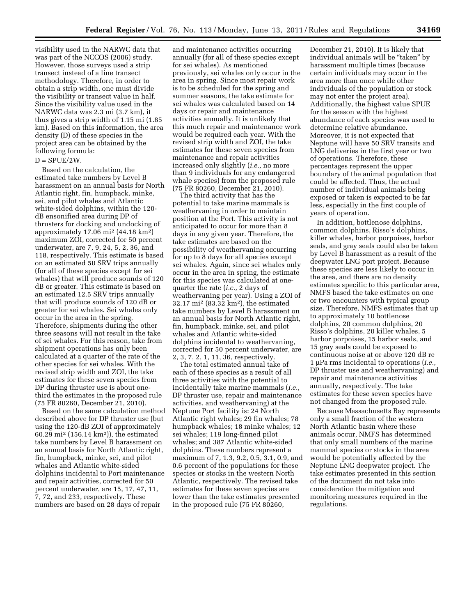visibility used in the NARWC data that was part of the NCCOS (2006) study. However, those surveys used a strip transect instead of a line transect methodology. Therefore, in order to obtain a strip width, one must divide the visibility or transect value in half. Since the visibility value used in the NARWC data was 2.3 mi (3.7 km), it thus gives a strip width of 1.15 mi (1.85 km). Based on this information, the area density (D) of these species in the project area can be obtained by the following formula:

## $D = SPUE/2W$ .

Based on the calculation, the estimated take numbers by Level B harassment on an annual basis for North Atlantic right, fin, humpback, minke, sei, and pilot whales and Atlantic white-sided dolphins, within the 120 dB ensonified area during DP of thrusters for docking and undocking of approximately  $17.06$  mi<sup>2</sup> (44.18 km<sup>2</sup>) maximum ZOI, corrected for 50 percent underwater, are 7, 9, 24, 5, 2, 36, and 118, respectively. This estimate is based on an estimated 50 SRV trips annually (for all of these species except for sei whales) that will produce sounds of 120 dB or greater. This estimate is based on an estimated 12.5 SRV trips annually that will produce sounds of 120 dB or greater for sei whales. Sei whales only occur in the area in the spring. Therefore, shipments during the other three seasons will not result in the take of sei whales. For this reason, take from shipment operations has only been calculated at a quarter of the rate of the other species for sei whales. With the revised strip width and ZOI, the take estimates for these seven species from DP during thruster use is about onethird the estimates in the proposed rule (75 FR 80260, December 21, 2010).

Based on the same calculation method described above for DP thruster use (but using the 120-dB ZOI of approximately 60.29 mi<sup>2</sup> (156.14 km<sup>2</sup>)), the estimated take numbers by Level B harassment on an annual basis for North Atlantic right, fin, humpback, minke, sei, and pilot whales and Atlantic white-sided dolphins incidental to Port maintenance and repair activities, corrected for 50 percent underwater, are 15, 17, 47, 11, 7, 72, and 233, respectively. These numbers are based on 28 days of repair

and maintenance activities occurring annually (for all of these species except for sei whales). As mentioned previously, sei whales only occur in the area in spring. Since most repair work is to be scheduled for the spring and summer seasons, the take estimate for sei whales was calculated based on 14 days or repair and maintenance activities annually. It is unlikely that this much repair and maintenance work would be required each year. With the revised strip width and ZOI, the take estimates for these seven species from maintenance and repair activities increased only slightly (*i.e.,* no more than 9 individuals for any endangered whale species) from the proposed rule (75 FR 80260, December 21, 2010).

The third activity that has the potential to take marine mammals is weathervaning in order to maintain position at the Port. This activity is not anticipated to occur for more than 8 days in any given year. Therefore, the take estimates are based on the possibility of weathervaning occurring for up to 8 days for all species except sei whales. Again, since sei whales only occur in the area in spring, the estimate for this species was calculated at onequarter the rate (*i.e.,* 2 days of weathervaning per year). Using a ZOI of 32.17 mi2 (83.32 km2), the estimated take numbers by Level B harassment on an annual basis for North Atlantic right, fin, humpback, minke, sei, and pilot whales and Atlantic white-sided dolphins incidental to weathervaning, corrected for 50 percent underwater, are 2, 3, 7, 2, 1, 11, 36, respectively.

The total estimated annual take of each of these species as a result of all three activities with the potential to incidentally take marine mammals (*i.e.,*  DP thruster use, repair and maintenance activities, and weathervaning) at the Neptune Port facility is: 24 North Atlantic right whales; 29 fin whales; 78 humpback whales; 18 minke whales; 12 sei whales; 119 long-finned pilot whales; and 387 Atlantic white-sided dolphins. These numbers represent a maximum of 7, 1.3, 9.2, 0.5, 3.1, 0.9, and 0.6 percent of the populations for these species or stocks in the western North Atlantic, respectively. The revised take estimates for these seven species are lower than the take estimates presented in the proposed rule (75 FR 80260,

December 21, 2010). It is likely that individual animals will be ''taken'' by harassment multiple times (because certain individuals may occur in the area more than once while other individuals of the population or stock may not enter the project area). Additionally, the highest value SPUE for the season with the highest abundance of each species was used to determine relative abundance. Moreover, it is not expected that Neptune will have 50 SRV transits and LNG deliveries in the first year or two of operations. Therefore, these percentages represent the upper boundary of the animal population that could be affected. Thus, the actual number of individual animals being exposed or taken is expected to be far less, especially in the first couple of years of operation.

In addition, bottlenose dolphins, common dolphins, Risso's dolphins, killer whales, harbor porpoises, harbor seals, and gray seals could also be taken by Level B harassment as a result of the deepwater LNG port project. Because these species are less likely to occur in the area, and there are no density estimates specific to this particular area, NMFS based the take estimates on one or two encounters with typical group size. Therefore, NMFS estimates that up to approximately 10 bottlenose dolphins, 20 common dolphins, 20 Risso's dolphins, 20 killer whales, 5 harbor porpoises, 15 harbor seals, and 15 gray seals could be exposed to continuous noise at or above 120 dB re 1 μPa rms incidental to operations (*i.e.,*  DP thruster use and weathervaning) and repair and maintenance activities annually, respectively. The take estimates for these seven species have not changed from the proposed rule.

Because Massachusetts Bay represents only a small fraction of the western North Atlantic basin where these animals occur, NMFS has determined that only small numbers of the marine mammal species or stocks in the area would be potentially affected by the Neptune LNG deepwater project. The take estimates presented in this section of the document do not take into consideration the mitigation and monitoring measures required in the regulations.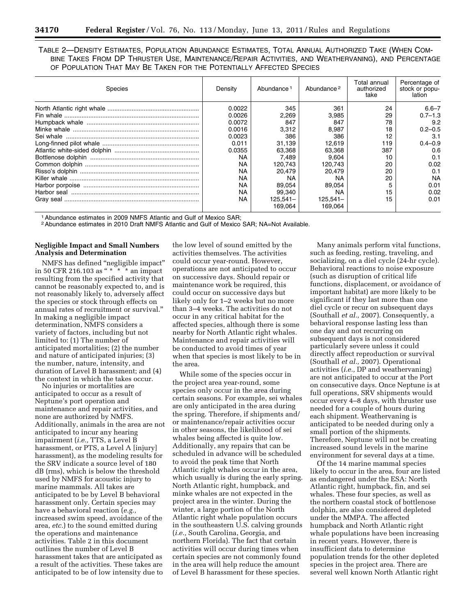TABLE 2—DENSITY ESTIMATES, POPULATION ABUNDANCE ESTIMATES, TOTAL ANNUAL AUTHORIZED TAKE (WHEN COM-BINE TAKES FROM DP THRUSTER USE, MAINTENANCE/REPAIR ACTIVITIES, AND WEATHERVANING), AND PERCENTAGE OF POPULATION THAT MAY BE TAKEN FOR THE POTENTIALLY AFFECTED SPECIES

| Species | Density | Abundance 1 | Abundance <sup>2</sup> | Total annual<br>authorized<br>take | Percentage of<br>stock or popu-<br>lation |
|---------|---------|-------------|------------------------|------------------------------------|-------------------------------------------|
|         | 0.0022  | 345         | 361                    | 24                                 | $6.6 - 7$                                 |
|         | 0.0026  | 2.269       | 3,985                  | 29                                 | $0.7 - 1.3$                               |
|         | 0.0072  | 847         | 847                    | 78                                 | 9.2                                       |
|         | 0.0016  | 3,312       | 8,987                  | 18                                 | $0.2 - 0.5$                               |
|         | 0.0023  | 386         | 386                    |                                    | 3.1                                       |
|         | 0.011   | 31.139      | 12.619                 | 119                                | $0.4 - 0.9$                               |
|         | 0.0355  | 63.368      | 63,368                 | 387                                | 0.6                                       |
|         | NA      | 7.489       | 9.604                  | 10                                 | 0.1                                       |
|         | NA      | 120.743     | 120.743                | 20                                 | 0.02                                      |
|         | ΝA      | 20.479      | 20.479                 | 20                                 | 0.1                                       |
|         | ΝA      | NA          | ΝA                     | 20                                 | <b>NA</b>                                 |
|         | ΝA      | 89.054      | 89,054                 |                                    | 0.01                                      |
|         | NA      | 99,340      | NA                     | 15                                 | 0.02                                      |
|         | NA      | $125.541 -$ | 125.541–               | 15                                 | 0.01                                      |
|         |         | 169.064     | 169.064                |                                    |                                           |

1Abundance estimates in 2009 NMFS Atlantic and Gulf of Mexico SAR;

2Abundance estimates in 2010 Draft NMFS Atlantic and Gulf of Mexico SAR; NA=Not Available.

### **Negligible Impact and Small Numbers Analysis and Determination**

NMFS has defined ''negligible impact'' in 50 CFR 216.103 as " \* \* \* an impact resulting from the specified activity that cannot be reasonably expected to, and is not reasonably likely to, adversely affect the species or stock through effects on annual rates of recruitment or survival.'' In making a negligible impact determination, NMFS considers a variety of factors, including but not limited to: (1) The number of anticipated mortalities; (2) the number and nature of anticipated injuries; (3) the number, nature, intensity, and duration of Level B harassment; and (4) the context in which the takes occur.

No injuries or mortalities are anticipated to occur as a result of Neptune's port operation and maintenance and repair activities, and none are authorized by NMFS. Additionally, animals in the area are not anticipated to incur any hearing impairment (*i.e.,* TTS, a Level B harassment, or PTS, a Level A [injury] harassment), as the modeling results for the SRV indicate a source level of 180 dB (rms), which is below the threshold used by NMFS for acoustic injury to marine mammals. All takes are anticipated to be by Level B behavioral harassment only. Certain species may have a behavioral reaction (*e.g.,*  increased swim speed, avoidance of the area, *etc.*) to the sound emitted during the operations and maintenance activities. Table 2 in this document outlines the number of Level B harassment takes that are anticipated as a result of the activities. These takes are anticipated to be of low intensity due to

the low level of sound emitted by the activities themselves. The activities could occur year-round. However, operations are not anticipated to occur on successive days. Should repair or maintenance work be required, this could occur on successive days but likely only for 1–2 weeks but no more than 3–4 weeks. The activities do not occur in any critical habitat for the affected species, although there is some nearby for North Atlantic right whales. Maintenance and repair activities will be conducted to avoid times of year when that species is most likely to be in the area.

While some of the species occur in the project area year-round, some species only occur in the area during certain seasons. For example, sei whales are only anticipated in the area during the spring. Therefore, if shipments and/ or maintenance/repair activities occur in other seasons, the likelihood of sei whales being affected is quite low. Additionally, any repairs that can be scheduled in advance will be scheduled to avoid the peak time that North Atlantic right whales occur in the area, which usually is during the early spring. North Atlantic right, humpback, and minke whales are not expected in the project area in the winter. During the winter, a large portion of the North Atlantic right whale population occurs in the southeastern U.S. calving grounds (*i.e.,* South Carolina, Georgia, and northern Florida). The fact that certain activities will occur during times when certain species are not commonly found in the area will help reduce the amount of Level B harassment for these species.

Many animals perform vital functions, such as feeding, resting, traveling, and socializing, on a diel cycle (24-hr cycle). Behavioral reactions to noise exposure (such as disruption of critical life functions, displacement, or avoidance of important habitat) are more likely to be significant if they last more than one diel cycle or recur on subsequent days (Southall *et al.,* 2007). Consequently, a behavioral response lasting less than one day and not recurring on subsequent days is not considered particularly severe unless it could directly affect reproduction or survival (Southall *et al.,* 2007). Operational activities (*i.e.,* DP and weathervaning) are not anticipated to occur at the Port on consecutive days. Once Neptune is at full operations, SRV shipments would occur every 4–8 days, with thruster use needed for a couple of hours during each shipment. Weathervaning is anticipated to be needed during only a small portion of the shipments. Therefore, Neptune will not be creating increased sound levels in the marine environment for several days at a time.

Of the 14 marine mammal species likely to occur in the area, four are listed as endangered under the ESA: North Atlantic right, humpback, fin, and sei whales. These four species, as well as the northern coastal stock of bottlenose dolphin, are also considered depleted under the MMPA. The affected humpback and North Atlantic right whale populations have been increasing in recent years. However, there is insufficient data to determine population trends for the other depleted species in the project area. There are several well known North Atlantic right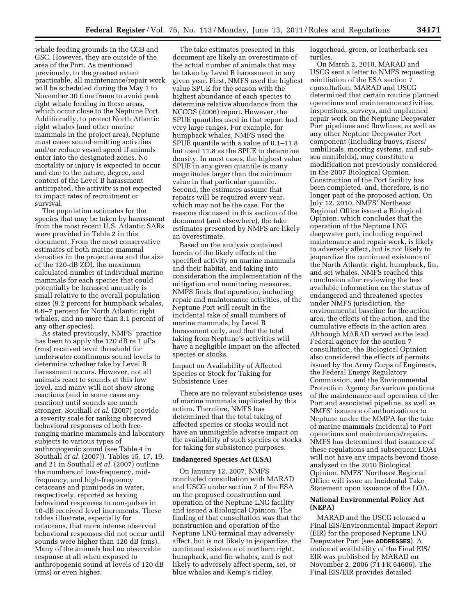whale feeding grounds in the CCB and GSC. However, they are outside of the area of the Port. As mentioned previously, to the greatest extent practicable, all maintenance/repair work will be scheduled during the May 1 to November 30 time frame to avoid peak right whale feeding in these areas, which occur close to the Neptune Port. Additionally, to protect North Atlantic right whales (and other marine mammals in the project area), Neptune must cease sound emitting activities and/or reduce vessel speed if animals enter into the designated zones. No mortality or injury is expected to occur and due to the nature, degree, and context of the Level B harassment anticipated, the activity is not expected to impact rates of recruitment or survival.

The population estimates for the species that may be taken by harassment from the most recent U.S. Atlantic SARs were provided in Table 2 in this document. From the most conservative estimates of both marine mammal densities in the project area and the size of the 120-dB ZOI, the maximum calculated number of individual marine mammals for each species that could potentially be harassed annually is small relative to the overall population sizes (9.2 percent for humpback whales, 6.6–7 percent for North Atlantic right whales, and no more than 3.1 percent of any other species).

As stated previously, NMFS' practice has been to apply the 120 dB re 1 μPa (rms) received level threshold for underwater continuous sound levels to determine whether take by Level B harassment occurs. However, not all animals react to sounds at this low level, and many will not show strong reactions (and in some cases any reaction) until sounds are much stronger. Southall *et al.* (2007) provide a severity scale for ranking observed behavioral responses of both freeranging marine mammals and laboratory subjects to various types of anthropogenic sound (see Table 4 in Southall *et al.* (2007)). Tables 15, 17, 19, and 21 in Southall *et al.* (2007) outline the numbers of low-frequency, midfrequency, and high-frequency cetaceans and pinnipeds in water, respectively, reported as having behavioral responses to non-pulses in 10-dB received level increments. These tables illustrate, especially for cetaceans, that more intense observed behavioral responses did not occur until sounds were higher than 120 dB (rms). Many of the animals had no observable response at all when exposed to anthropogenic sound at levels of 120 dB (rms) or even higher.

The take estimates presented in this document are likely an overestimate of the actual number of animals that may be taken by Level B harassment in any given year. First, NMFS used the highest value SPUE for the season with the highest abundance of each species to determine relative abundance from the NCCOS (2006) report. However, the SPUE quantiles used in that report had very large ranges. For example, for humpback whales, NMFS used the SPUE quantile with a value of 0.1–11.8 but used 11.8 as the SPUE to determine density. In most cases, the highest value SPUE in any given quantile is many magnitudes larger than the minimum value in that particular quantile. Second, the estimates assume that repairs will be required every year, which may not be the case. For the reasons discussed in this section of the document (and elsewhere), the take estimates presented by NMFS are likely an overestimate.

Based on the analysis contained herein of the likely effects of the specified activity on marine mammals and their habitat, and taking into consideration the implementation of the mitigation and monitoring measures, NMFS finds that operation, including repair and maintenance activities, of the Neptune Port will result in the incidental take of small numbers of marine mammals, by Level B harassment only, and that the total taking from Neptune's activities will have a negligible impact on the affected species or stocks.

Impact on Availability of Affected Species or Stock for Taking for Subsistence Uses

There are no relevant subsistence uses of marine mammals implicated by this action. Therefore, NMFS has determined that the total taking of affected species or stocks would not have an unmitigable adverse impact on the availability of such species or stocks for taking for subsistence purposes.

#### **Endangered Species Act (ESA)**

On January 12, 2007, NMFS concluded consultation with MARAD and USCG under section 7 of the ESA on the proposed construction and operation of the Neptune LNG facility and issued a Biological Opinion. The finding of that consultation was that the construction and operation of the Neptune LNG terminal may adversely affect, but is not likely to jeopardize, the continued existence of northern right, humpback, and fin whales, and is not likely to adversely affect sperm, sei, or blue whales and Kemp's ridley,

loggerhead, green, or leatherback sea turtles.

On March 2, 2010, MARAD and USCG sent a letter to NMFS requesting reinitiation of the ESA section 7 consultation. MARAD and USCG determined that certain routine planned operations and maintenance activities, inspections, surveys, and unplanned repair work on the Neptune Deepwater Port pipelines and flowlines, as well as any other Neptune Deepwater Port component (including buoys, risers/ umbilicals, mooring systems, and subsea manifolds), may constitute a modification not previously considered in the 2007 Biological Opinion. Construction of the Port facility has been completed, and, therefore, is no longer part of the proposed action. On July 12, 2010, NMFS' Northeast Regional Office issued a Biological Opinion, which concludes that the operation of the Neptune LNG deepwater port, including required maintenance and repair work, is likely to adversely affect, but is not likely to jeopardize the continued existence of the North Atlantic right, humpback, fin, and sei whales. NMFS reached this conclusion after reviewing the best available information on the status of endangered and threatened species under NMFS jurisdiction, the environmental baseline for the action area, the effects of the action, and the cumulative effects in the action area. Although MARAD served as the lead Federal agency for the section 7 consultation, the Biological Opinion also considered the effects of permits issued by the Army Corps of Engineers, the Federal Energy Regulatory Commission, and the Environmental Protection Agency for various portions of the maintenance and operation of the Port and associated pipeline, as well as NMFS' issuance of authorizations to Neptune under the MMPA for the take of marine mammals incidental to Port operations and maintenance/repairs. NMFS has determined that issuance of these regulations and subsequent LOAs will not have any impacts beyond those analyzed in the 2010 Biological Opinion. NMFS' Northeast Regional Office will issue an Incidental Take Statement upon issuance of the LOA.

### **National Environmental Policy Act (NEPA)**

MARAD and the USCG released a Final EIS/Environmental Impact Report (EIR) for the proposed Neptune LNG Deepwater Port (see **ADDRESSES**). A notice of availability of the Final EIS/ EIR was published by MARAD on November 2, 2006 (71 FR 64606). The Final EIS/EIR provides detailed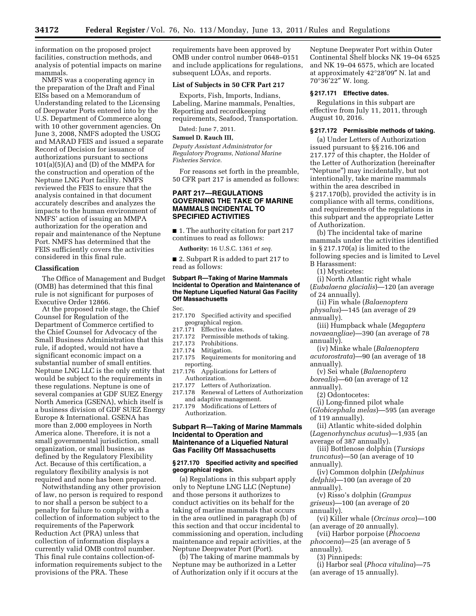information on the proposed project facilities, construction methods, and analysis of potential impacts on marine mammals.

NMFS was a cooperating agency in the preparation of the Draft and Final EISs based on a Memorandum of Understanding related to the Licensing of Deepwater Ports entered into by the U.S. Department of Commerce along with 10 other government agencies. On June 3, 2008, NMFS adopted the USCG and MARAD FEIS and issued a separate Record of Decision for issuance of authorizations pursuant to sections  $101(a)(5)(A)$  and (D) of the MMPA for the construction and operation of the Neptune LNG Port facility. NMFS reviewed the FEIS to ensure that the analysis contained in that document accurately describes and analyzes the impacts to the human environment of NMFS' action of issuing an MMPA authorization for the operation and repair and maintenance of the Neptune Port. NMFS has determined that the FEIS sufficiently covers the activities considered in this final rule.

#### **Classification**

The Office of Management and Budget (OMB) has determined that this final rule is not significant for purposes of Executive Order 12866.

At the proposed rule stage, the Chief Counsel for Regulation of the Department of Commerce certified to the Chief Counsel for Advocacy of the Small Business Administration that this rule, if adopted, would not have a significant economic impact on a substantial number of small entities. Neptune LNG LLC is the only entity that would be subject to the requirements in these regulations. Neptune is one of several companies at GDF SUEZ Energy North America (GSENA), which itself is a business division of GDF SUEZ Energy Europe & International. GSENA has more than 2,000 employees in North America alone. Therefore, it is not a small governmental jurisdiction, small organization, or small business, as defined by the Regulatory Flexibility Act. Because of this certification, a regulatory flexibility analysis is not required and none has been prepared.

Notwithstanding any other provision of law, no person is required to respond to nor shall a person be subject to a penalty for failure to comply with a collection of information subject to the requirements of the Paperwork Reduction Act (PRA) unless that collection of information displays a currently valid OMB control number. This final rule contains collection-ofinformation requirements subject to the provisions of the PRA. These

requirements have been approved by OMB under control number 0648–0151 and include applications for regulations, subsequent LOAs, and reports.

## **List of Subjects in 50 CFR Part 217**

Exports, Fish, Imports, Indians, Labeling, Marine mammals, Penalties, Reporting and recordkeeping requirements, Seafood, Transportation.

Dated: June 7, 2011.

# **Samuel D. Rauch III,**

*Deputy Assistant Administrator for Regulatory Programs, National Marine Fisheries Service.* 

For reasons set forth in the preamble, 50 CFR part 217 is amended as follows:

## **PART 217—REGULATIONS GOVERNING THE TAKE OF MARINE MAMMALS INCIDENTAL TO SPECIFIED ACTIVITIES**

■ 1. The authority citation for part 217 continues to read as follows:

**Authority:** 16 U.S.C. 1361 *et seq.* 

■ 2. Subpart R is added to part 217 to read as follows:

#### **Subpart R—Taking of Marine Mammals Incidental to Operation and Maintenance of the Neptune Liquefied Natural Gas Facility Off Massachusetts**

Sec.

- 217.170 Specified activity and specified geographical region.
- 217.171 Effective dates.
- 217.172 Permissible methods of taking.
- Prohibitions.
- 217.174 Mitigation.
- 217.175 Requirements for monitoring and reporting.
- 217.176 Applications for Letters of Authorization.
- 217.177 Letters of Authorization.
- 217.178 Renewal of Letters of Authorization and adaptive management.
- 217.179 Modifications of Letters of Authorization.

## **Subpart R—Taking of Marine Mammals Incidental to Operation and Maintenance of a Liquefied Natural Gas Facility Off Massachusetts**

### **§ 217.170 Specified activity and specified geographical region.**

(a) Regulations in this subpart apply only to Neptune LNG LLC (Neptune) and those persons it authorizes to conduct activities on its behalf for the taking of marine mammals that occurs in the area outlined in paragraph (b) of this section and that occur incidental to commissioning and operation, including maintenance and repair activities, at the Neptune Deepwater Port (Port).

(b) The taking of marine mammals by Neptune may be authorized in a Letter of Authorization only if it occurs at the

Neptune Deepwater Port within Outer Continental Shelf blocks NK 19–04 6525 and NK 19–04 6575, which are located at approximately 42°28′09″ N. lat and 70°36′22″ W. long.

#### **§ 217.171 Effective dates.**

Regulations in this subpart are effective from July 11, 2011, through August 10, 2016.

#### **§ 217.172 Permissible methods of taking.**

(a) Under Letters of Authorization issued pursuant to §§ 216.106 and 217.177 of this chapter, the Holder of the Letter of Authorization (hereinafter ''Neptune'') may incidentally, but not intentionally, take marine mammals within the area described in § 217.170(b), provided the activity is in compliance with all terms, conditions, and requirements of the regulations in this subpart and the appropriate Letter of Authorization.

(b) The incidental take of marine mammals under the activities identified in § 217.170(a) is limited to the following species and is limited to Level B Harassment:

(1) Mysticetes:

(i) North Atlantic right whale (*Eubalaena glacialis*)—120 (an average of 24 annually).

(ii) Fin whale (*Balaenoptera physalus*)—145 (an average of 29 annually).

(iii) Humpback whale (*Megaptera novaeangliae*)—390 (an average of 78 annually).

(iv) Minke whale (*Balaenoptera acutorostrata*)—90 (an average of 18 annually).

(v) Sei whale (*Balaenoptera borealis*)—60 (an average of 12

annually). (2) Odontocetes:

(i) Long-finned pilot whale (*Globicephala melas*)—595 (an average of 119 annually).

(ii) Atlantic white-sided dolphin (*Lagenorhynchus acutus*)—1,935 (an average of 387 annually).

(iii) Bottlenose dolphin (*Tursiops truncatus*)—50 (an average of 10 annually).

(iv) Common dolphin (*Delphinus delphis*)—100 (an average of 20 annually).

(v) Risso's dolphin (*Grampus griseus*)—100 (an average of 20 annually).

(vi) Killer whale (*Orcinus orca*)—100 (an average of 20 annually).

(vii) Harbor porpoise (*Phocoena phocoena*)—25 (an average of 5

annually). (3) Pinnipeds:

(i) Harbor seal (*Phoca vitulina*)—75 (an average of 15 annually).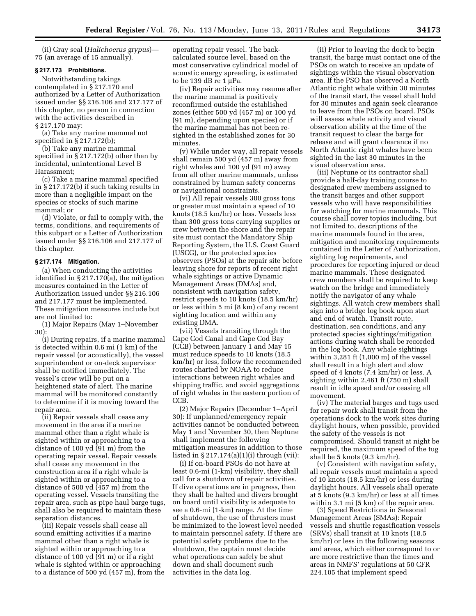(ii) Gray seal (*Halichoerus grypus*)— 75 (an average of 15 annually).

### **§ 217.173 Prohibitions.**

Notwithstanding takings contemplated in § 217.170 and authorized by a Letter of Authorization issued under §§ 216.106 and 217.177 of this chapter, no person in connection with the activities described in § 217.170 may:

(a) Take any marine mammal not specified in § 217.172(b);

(b) Take any marine mammal specified in § 217.172(b) other than by incidental, unintentional Level B Harassment;

(c) Take a marine mammal specified in § 217.172(b) if such taking results in more than a negligible impact on the species or stocks of such marine mammal; or

(d) Violate, or fail to comply with, the terms, conditions, and requirements of this subpart or a Letter of Authorization issued under §§ 216.106 and 217.177 of this chapter.

# **§ 217.174 Mitigation.**

(a) When conducting the activities identified in § 217.170(a), the mitigation measures contained in the Letter of Authorization issued under §§ 216.106 and 217.177 must be implemented. These mitigation measures include but are not limited to:

(1) Major Repairs (May 1–November 30):

(i) During repairs, if a marine mammal is detected within 0.6 mi (1 km) of the repair vessel (or acoustically), the vessel superintendent or on-deck supervisor shall be notified immediately. The vessel's crew will be put on a heightened state of alert. The marine mammal will be monitored constantly to determine if it is moving toward the repair area.

(ii) Repair vessels shall cease any movement in the area if a marine mammal other than a right whale is sighted within or approaching to a distance of 100 yd (91 m) from the operating repair vessel. Repair vessels shall cease any movement in the construction area if a right whale is sighted within or approaching to a distance of 500 yd (457 m) from the operating vessel. Vessels transiting the repair area, such as pipe haul barge tugs, shall also be required to maintain these separation distances.

(iii) Repair vessels shall cease all sound emitting activities if a marine mammal other than a right whale is sighted within or approaching to a distance of 100 yd (91 m) or if a right whale is sighted within or approaching to a distance of 500 yd (457 m), from the operating repair vessel. The backcalculated source level, based on the most conservative cylindrical model of acoustic energy spreading, is estimated to be 139 dB re 1 μPa.

(iv) Repair activities may resume after the marine mammal is positively reconfirmed outside the established zones (either 500 yd (457 m) or 100 yd (91 m), depending upon species) or if the marine mammal has not been resighted in the established zones for 30 minutes.

(v) While under way, all repair vessels shall remain 500 yd (457 m) away from right whales and 100 yd (91 m) away from all other marine mammals, unless constrained by human safety concerns or navigational constraints.

(vi) All repair vessels 300 gross tons or greater must maintain a speed of 10 knots (18.5 km/hr) or less. Vessels less than 300 gross tons carrying supplies or crew between the shore and the repair site must contact the Mandatory Ship Reporting System, the U.S. Coast Guard (USCG), or the protected species observers (PSOs) at the repair site before leaving shore for reports of recent right whale sightings or active Dynamic Management Areas (DMAs) and, consistent with navigation safety, restrict speeds to 10 knots (18.5 km/hr) or less within 5 mi (8 km) of any recent sighting location and within any existing DMA.

(vii) Vessels transiting through the Cape Cod Canal and Cape Cod Bay (CCB) between January 1 and May 15 must reduce speeds to 10 knots (18.5 km/hr) or less, follow the recommended routes charted by NOAA to reduce interactions between right whales and shipping traffic, and avoid aggregations of right whales in the eastern portion of CCB.

(2) Major Repairs (December 1–April 30): If unplanned/emergency repair activities cannot be conducted between May 1 and November 30, then Neptune shall implement the following mitigation measures in addition to those listed in § 217.174(a)(1)(i) through (vii):

(i) If on-board PSOs do not have at least 0.6-mi (1-km) visibility, they shall call for a shutdown of repair activities. If dive operations are in progress, then they shall be halted and divers brought on board until visibility is adequate to see a 0.6-mi (1-km) range. At the time of shutdown, the use of thrusters must be minimized to the lowest level needed to maintain personnel safety. If there are potential safety problems due to the shutdown, the captain must decide what operations can safely be shut down and shall document such activities in the data log.

(ii) Prior to leaving the dock to begin transit, the barge must contact one of the PSOs on watch to receive an update of sightings within the visual observation area. If the PSO has observed a North Atlantic right whale within 30 minutes of the transit start, the vessel shall hold for 30 minutes and again seek clearance to leave from the PSOs on board. PSOs will assess whale activity and visual observation ability at the time of the transit request to clear the barge for release and will grant clearance if no North Atlantic right whales have been sighted in the last 30 minutes in the visual observation area.

(iii) Neptune or its contractor shall provide a half-day training course to designated crew members assigned to the transit barges and other support vessels who will have responsibilities for watching for marine mammals. This course shall cover topics including, but not limited to, descriptions of the marine mammals found in the area, mitigation and monitoring requirements contained in the Letter of Authorization, sighting log requirements, and procedures for reporting injured or dead marine mammals. These designated crew members shall be required to keep watch on the bridge and immediately notify the navigator of any whale sightings. All watch crew members shall sign into a bridge log book upon start and end of watch. Transit route, destination, sea conditions, and any protected species sightings/mitigation actions during watch shall be recorded in the log book. Any whale sightings within 3,281 ft (1,000 m) of the vessel shall result in a high alert and slow speed of 4 knots (7.4 km/hr) or less. A sighting within 2,461 ft (750 m) shall result in idle speed and/or ceasing all movement.

(iv) The material barges and tugs used for repair work shall transit from the operations dock to the work sites during daylight hours, when possible, provided the safety of the vessels is not compromised. Should transit at night be required, the maximum speed of the tug shall be 5 knots (9.3 km/hr).

(v) Consistent with navigation safety, all repair vessels must maintain a speed of 10 knots (18.5 km/hr) or less during daylight hours. All vessels shall operate at 5 knots (9.3 km/hr) or less at all times within 3.1 mi (5 km) of the repair area.

(3) Speed Restrictions in Seasonal Management Areas (SMAs): Repair vessels and shuttle regasification vessels (SRVs) shall transit at 10 knots (18.5 km/hr) or less in the following seasons and areas, which either correspond to or are more restrictive than the times and areas in NMFS' regulations at 50 CFR 224.105 that implement speed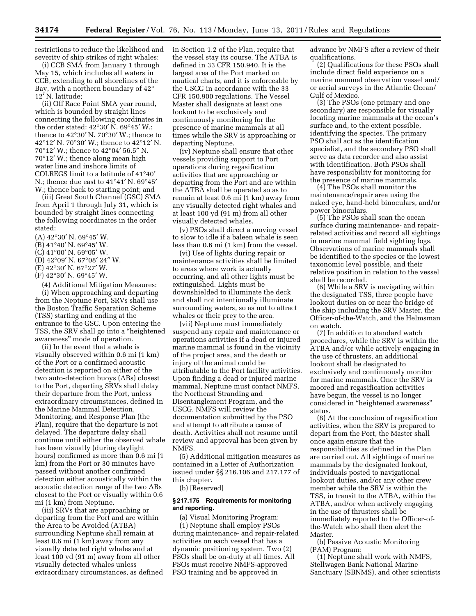restrictions to reduce the likelihood and severity of ship strikes of right whales:

(i) CCB SMA from January 1 through May 15, which includes all waters in CCB, extending to all shorelines of the Bay, with a northern boundary of 42° 12′ N. latitude;

(ii) Off Race Point SMA year round, which is bounded by straight lines connecting the following coordinates in the order stated:  $42^{\circ}30'$  N.  $69^{\circ}45'$  W.; thence to 42°30′ N. 70°30′ W.; thence to 42°12′ N. 70°30′ W.; thence to 42°12′ N. 70°12′ W.; thence to 42°04′ 56.5″ N. 70°12′ W.; thence along mean high water line and inshore limits of COLREGS limit to a latitude of 41°40′ N.; thence due east to 41°41′ N. 69°45′ W.; thence back to starting point; and

(iii) Great South Channel (GSC) SMA from April 1 through July 31, which is bounded by straight lines connecting the following coordinates in the order stated:

- (A) 42°30′ N. 69°45′ W.
- (B) 41°40′ N. 69°45′ W.
- (C) 41°00′ N. 69°05′ W.
- (D) 42°09′ N. 67°08′ 24″ W.
- (E) 42°30′ N. 67°27′ W.
- (F) 42°30′ N. 69°45′ W.

(4) Additional Mitigation Measures: (i) When approaching and departing from the Neptune Port, SRVs shall use the Boston Traffic Separation Scheme (TSS) starting and ending at the entrance to the GSC. Upon entering the TSS, the SRV shall go into a ''heightened awareness'' mode of operation.

(ii) In the event that a whale is visually observed within 0.6 mi (1 km) of the Port or a confirmed acoustic detection is reported on either of the two auto-detection buoys (ABs) closest to the Port, departing SRVs shall delay their departure from the Port, unless extraordinary circumstances, defined in the Marine Mammal Detection, Monitoring, and Response Plan (the Plan), require that the departure is not delayed. The departure delay shall continue until either the observed whale has been visually (during daylight hours) confirmed as more than 0.6 mi (1 km) from the Port or 30 minutes have passed without another confirmed detection either acoustically within the acoustic detection range of the two ABs closest to the Port or visually within 0.6 mi (1 km) from Neptune.

(iii) SRVs that are approaching or departing from the Port and are within the Area to be Avoided (ATBA) surrounding Neptune shall remain at least 0.6 mi (1 km) away from any visually detected right whales and at least 100 yd (91 m) away from all other visually detected whales unless extraordinary circumstances, as defined in Section 1.2 of the Plan, require that the vessel stay its course. The ATBA is defined in 33 CFR 150.940. It is the largest area of the Port marked on nautical charts, and it is enforceable by the USCG in accordance with the 33 CFR 150.900 regulations. The Vessel Master shall designate at least one lookout to be exclusively and continuously monitoring for the presence of marine mammals at all times while the SRV is approaching or departing Neptune.

(iv) Neptune shall ensure that other vessels providing support to Port operations during regasification activities that are approaching or departing from the Port and are within the ATBA shall be operated so as to remain at least 0.6 mi (1 km) away from any visually detected right whales and at least 100 yd (91 m) from all other visually detected whales.

(v) PSOs shall direct a moving vessel to slow to idle if a baleen whale is seen less than 0.6 mi (1 km) from the vessel.

(vi) Use of lights during repair or maintenance activities shall be limited to areas where work is actually occurring, and all other lights must be extinguished. Lights must be downshielded to illuminate the deck and shall not intentionally illuminate surrounding waters, so as not to attract whales or their prey to the area.

(vii) Neptune must immediately suspend any repair and maintenance or operations activities if a dead or injured marine mammal is found in the vicinity of the project area, and the death or injury of the animal could be attributable to the Port facility activities. Upon finding a dead or injured marine mammal, Neptune must contact NMFS, the Northeast Stranding and Disentanglement Program, and the USCG. NMFS will review the documentation submitted by the PSO and attempt to attribute a cause of death. Activities shall not resume until review and approval has been given by NMFS.

(5) Additional mitigation measures as contained in a Letter of Authorization issued under §§ 216.106 and 217.177 of this chapter.

(b) [Reserved]

### **§ 217.175 Requirements for monitoring and reporting.**

(a) Visual Monitoring Program: (1) Neptune shall employ PSOs during maintenance- and repair-related activities on each vessel that has a dynamic positioning system. Two (2) PSOs shall be on-duty at all times. All PSOs must receive NMFS-approved PSO training and be approved in

advance by NMFS after a review of their qualifications.

(2) Qualifications for these PSOs shall include direct field experience on a marine mammal observation vessel and/ or aerial surveys in the Atlantic Ocean/ Gulf of Mexico.

(3) The PSOs (one primary and one secondary) are responsible for visually locating marine mammals at the ocean's surface and, to the extent possible, identifying the species. The primary PSO shall act as the identification specialist, and the secondary PSO shall serve as data recorder and also assist with identification. Both PSOs shall have responsibility for monitoring for the presence of marine mammals.

(4) The PSOs shall monitor the maintenance/repair area using the naked eye, hand-held binoculars, and/or power binoculars.

(5) The PSOs shall scan the ocean surface during maintenance- and repairrelated activities and record all sightings in marine mammal field sighting logs. Observations of marine mammals shall be identified to the species or the lowest taxonomic level possible, and their relative position in relation to the vessel shall be recorded.

(6) While a SRV is navigating within the designated TSS, three people have lookout duties on or near the bridge of the ship including the SRV Master, the Officer-of-the-Watch, and the Helmsman on watch.

(7) In addition to standard watch procedures, while the SRV is within the ATBA and/or while actively engaging in the use of thrusters, an additional lookout shall be designated to exclusively and continuously monitor for marine mammals. Once the SRV is moored and regasification activities have begun, the vessel is no longer considered in ''heightened awareness'' status.

(8) At the conclusion of regasification activities, when the SRV is prepared to depart from the Port, the Master shall once again ensure that the responsibilities as defined in the Plan are carried out. All sightings of marine mammals by the designated lookout, individuals posted to navigational lookout duties, and/or any other crew member while the SRV is within the TSS, in transit to the ATBA, within the ATBA, and/or when actively engaging in the use of thrusters shall be immediately reported to the Officer-ofthe-Watch who shall then alert the Master.

(b) Passive Acoustic Monitoring (PAM) Program:

(1) Neptune shall work with NMFS, Stellwagen Bank National Marine Sanctuary (SBNMS), and other scientists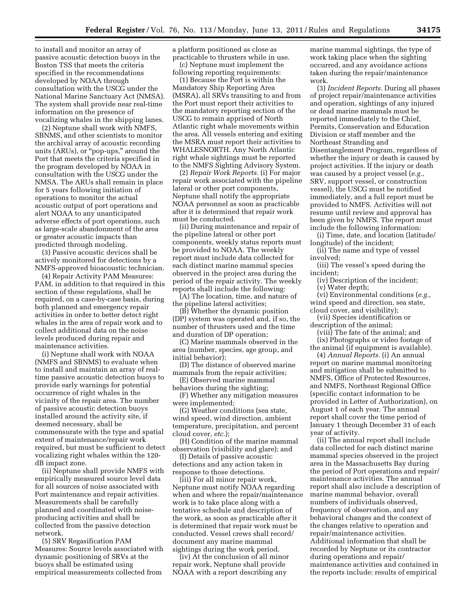to install and monitor an array of passive acoustic detection buoys in the Boston TSS that meets the criteria specified in the recommendations developed by NOAA through consultation with the USCG under the National Marine Sanctuary Act (NMSA). The system shall provide near real-time information on the presence of vocalizing whales in the shipping lanes.

(2) Neptune shall work with NMFS, SBNMS, and other scientists to monitor the archival array of acoustic recording units (ARUs), or ''pop-ups,'' around the Port that meets the criteria specified in the program developed by NOAA in consultation with the USCG under the NMSA. The ARUs shall remain in place for 5 years following initiation of operations to monitor the actual acoustic output of port operations and alert NOAA to any unanticipated adverse effects of port operations, such as large-scale abandonment of the area or greater acoustic impacts than predicted through modeling.

(3) Passive acoustic devices shall be actively monitored for detections by a NMFS-approved bioacoustic technician.

(4) Repair Activity PAM Measures: PAM, in addition to that required in this section of these regulations, shall be required, on a case-by-case basis, during both planned and emergency repair activities in order to better detect right whales in the area of repair work and to collect additional data on the noise levels produced during repair and maintenance activities.

(i) Neptune shall work with NOAA (NMFS and SBNMS) to evaluate when to install and maintain an array of realtime passive acoustic detection buoys to provide early warnings for potential occurrence of right whales in the vicinity of the repair area. The number of passive acoustic detection buoys installed around the activity site, if deemed necessary, shall be commensurate with the type and spatial extent of maintenance/repair work required, but must be sufficient to detect vocalizing right whales within the 120 dB impact zone.

(ii) Neptune shall provide NMFS with empirically measured source level data for all sources of noise associated with Port maintenance and repair activities. Measurements shall be carefully planned and coordinated with noiseproducing activities and shall be collected from the passive detection network.

(5) SRV Regasification PAM Measures: Source levels associated with dynamic positioning of SRVs at the buoys shall be estimated using empirical measurements collected from

a platform positioned as close as practicable to thrusters while in use. (c) Neptune must implement the

following reporting requirements: (1) Because the Port is within the

Mandatory Ship Reporting Area (MSRA), all SRVs transiting to and from the Port must report their activities to the mandatory reporting section of the USCG to remain apprised of North Atlantic right whale movements within the area. All vessels entering and exiting the MSRA must report their activities to WHALESNORTH. Any North Atlantic right whale sightings must be reported to the NMFS Sighting Advisory System.

(2) *Repair Work Reports.* (i) For major repair work associated with the pipeline lateral or other port components, Neptune shall notify the appropriate NOAA personnel as soon as practicable after it is determined that repair work must be conducted.

(ii) During maintenance and repair of the pipeline lateral or other port components, weekly status reports must be provided to NOAA. The weekly report must include data collected for each distinct marine mammal species observed in the project area during the period of the repair activity. The weekly reports shall include the following:

(A) The location, time, and nature of the pipeline lateral activities;

(B) Whether the dynamic position (DP) system was operated and, if so, the number of thrusters used and the time and duration of DP operation;

(C) Marine mammals observed in the area (number, species, age group, and initial behavior);

(D) The distance of observed marine mammals from the repair activities;

(E) Observed marine mammal behaviors during the sighting;

(F) Whether any mitigation measures were implemented;

(G) Weather conditions (sea state, wind speed, wind direction, ambient temperature, precipitation, and percent cloud cover, *etc*.);

(H) Condition of the marine mammal observation (visibility and glare); and

(I) Details of passive acoustic detections and any action taken in response to those detections.

(iii) For all minor repair work, Neptune must notify NOAA regarding when and where the repair/maintenance work is to take place along with a tentative schedule and description of the work, as soon as practicable after it is determined that repair work must be conducted. Vessel crews shall record/ document any marine mammal sightings during the work period.

(iv) At the conclusion of all minor repair work, Neptune shall provide NOAA with a report describing any

marine mammal sightings, the type of work taking place when the sighting occurred, and any avoidance actions taken during the repair/maintenance work.

(3) *Incident Reports.* During all phases of project repair/maintenance activities and operation, sightings of any injured or dead marine mammals must be reported immediately to the Chief, Permits, Conservation and Education Division or staff member and the Northeast Stranding and Disentanglement Program, regardless of whether the injury or death is caused by project activities. If the injury or death was caused by a project vessel (*e.g.*, SRV, support vessel, or construction vessel), the USCG must be notified immediately, and a full report must be provided to NMFS. Activities will not resume until review and approval has been given by NMFS. The report must include the following information:

(i) Time, date, and location (latitude/ longitude) of the incident;

(ii) The name and type of vessel involved;

(iii) The vessel's speed during the incident;

(iv) Description of the incident;

(v) Water depth;

(vi) Environmental conditions (*e.g.,*  wind speed and direction, sea state, cloud cover, and visibility);

(vii) Species identification or description of the animal;

(viii) The fate of the animal; and (ix) Photographs or video footage of

the animal (if equipment is available).

(4) *Annual Reports.* (i) An annual report on marine mammal monitoring and mitigation shall be submitted to NMFS, Office of Protected Resources, and NMFS, Northeast Regional Office (specific contact information to be provided in Letter of Authorization), on August 1 of each year. The annual report shall cover the time period of January 1 through December 31 of each year of activity.

(ii) The annual report shall include data collected for each distinct marine mammal species observed in the project area in the Massachusetts Bay during the period of Port operations and repair/ maintenance activities. The annual report shall also include a description of marine mammal behavior, overall numbers of individuals observed, frequency of observation, and any behavioral changes and the context of the changes relative to operation and repair/maintenance activities. Additional information that shall be recorded by Neptune or its contractor during operations and repair/ maintenance activities and contained in the reports include: results of empirical